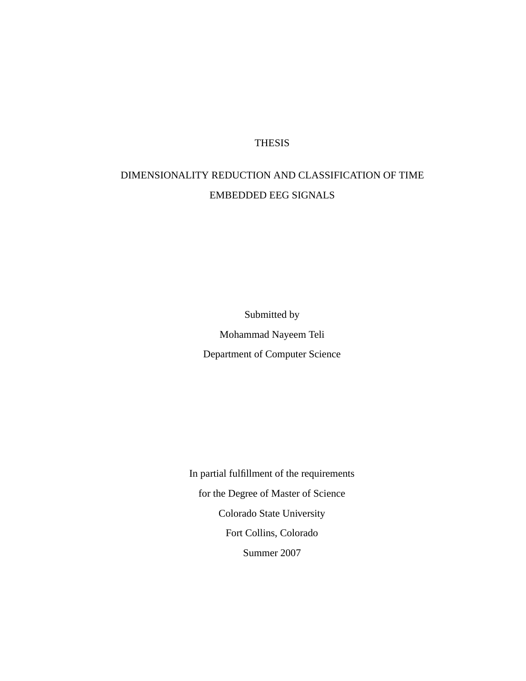#### **THESIS**

## DIMENSIONALITY REDUCTION AND CLASSIFICATION OF TIME EMBEDDED EEG SIGNALS

Submitted by Mohammad Nayeem Teli Department of Computer Science

In partial fulfillment of the requirements for the Degree of Master of Science Colorado State University Fort Collins, Colorado Summer 2007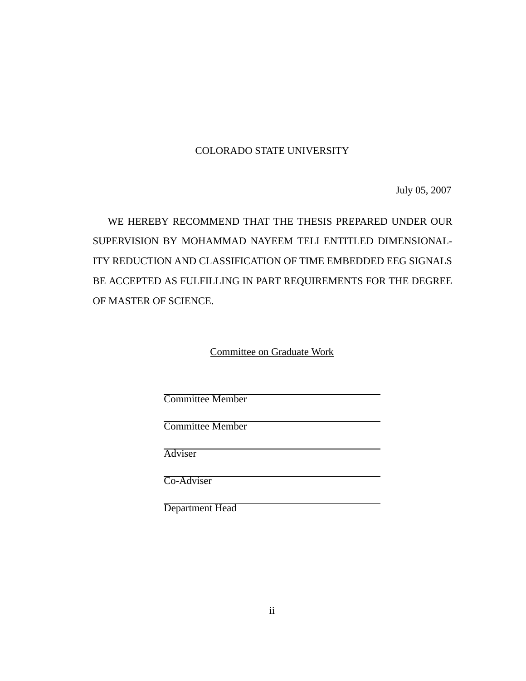#### COLORADO STATE UNIVERSITY

July 05, 2007

WE HEREBY RECOMMEND THAT THE THESIS PREPARED UNDER OUR SUPERVISION BY MOHAMMAD NAYEEM TELI ENTITLED DIMENSIONAL-ITY REDUCTION AND CLASSIFICATION OF TIME EMBEDDED EEG SIGNALS BE ACCEPTED AS FULFILLING IN PART REQUIREMENTS FOR THE DEGREE OF MASTER OF SCIENCE.

Committee on Graduate Work

Committee Member

Committee Member

Adviser

Co-Adviser

Department Head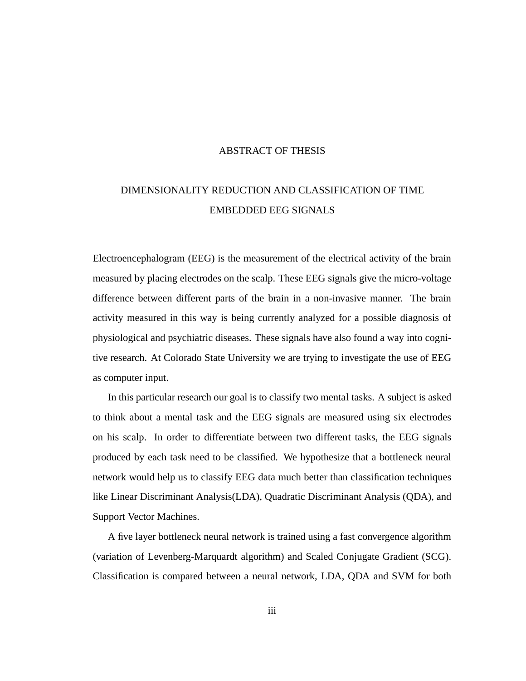#### ABSTRACT OF THESIS

## DIMENSIONALITY REDUCTION AND CLASSIFICATION OF TIME EMBEDDED EEG SIGNALS

Electroencephalogram (EEG) is the measurement of the electrical activity of the brain measured by placing electrodes on the scalp. These EEG signals give the micro-voltage difference between different parts of the brain in a non-invasive manner. The brain activity measured in this way is being currently analyzed for a possible diagnosis of physiological and psychiatric diseases. These signals have also found a way into cognitive research. At Colorado State University we are trying to investigate the use of EEG as computer input.

In this particular research our goal is to classify two mental tasks. A subject is asked to think about a mental task and the EEG signals are measured using six electrodes on his scalp. In order to differentiate between two different tasks, the EEG signals produced by each task need to be classified. We hypothesize that a bottleneck neural network would help us to classify EEG data much better than classification techniques like Linear Discriminant Analysis(LDA), Quadratic Discriminant Analysis (QDA), and Support Vector Machines.

A five layer bottleneck neural network is trained using a fast convergence algorithm (variation of Levenberg-Marquardt algorithm) and Scaled Conjugate Gradient (SCG). Classification is compared between a neural network, LDA, QDA and SVM for both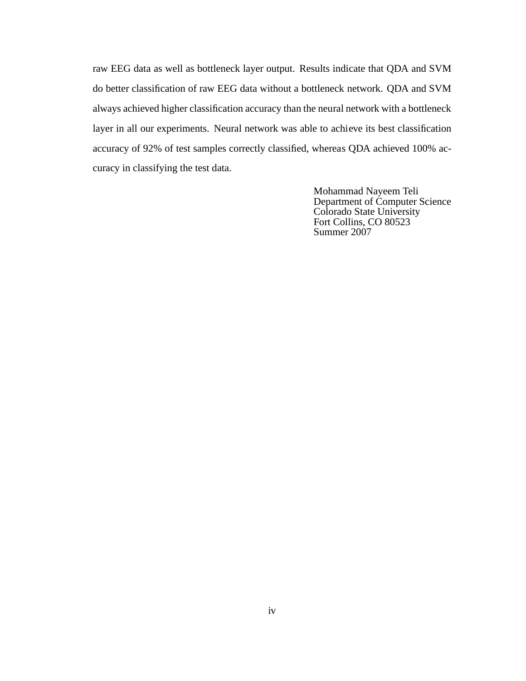raw EEG data as well as bottleneck layer output. Results indicate that QDA and SVM do better classification of raw EEG data without a bottleneck network. QDA and SVM always achieved higher classification accuracy than the neural network with a bottleneck layer in all our experiments. Neural network was able to achieve its best classification accuracy of 92% of test samples correctly classified, whereas QDA achieved 100% accuracy in classifying the test data.

> Mohammad Nayeem Teli Department of Computer Science Colorado State University Fort Collins, CO 80523 Summer 2007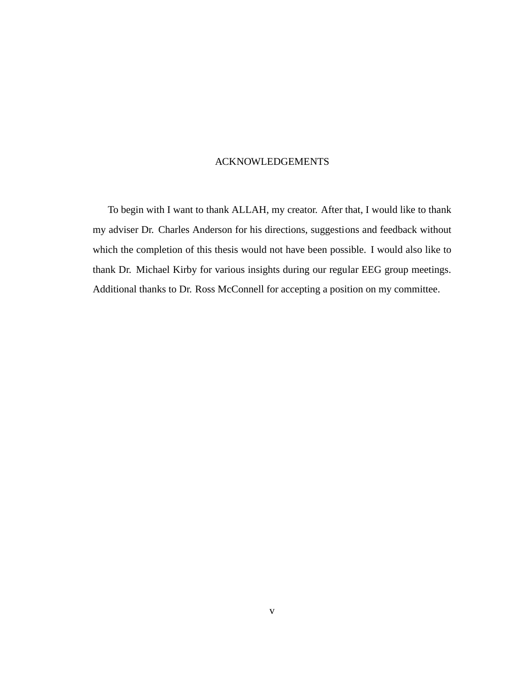#### ACKNOWLEDGEMENTS

To begin with I want to thank ALLAH, my creator. After that, I would like to thank my adviser Dr. Charles Anderson for his directions, suggestions and feedback without which the completion of this thesis would not have been possible. I would also like to thank Dr. Michael Kirby for various insights during our regular EEG group meetings. Additional thanks to Dr. Ross McConnell for accepting a position on my committee.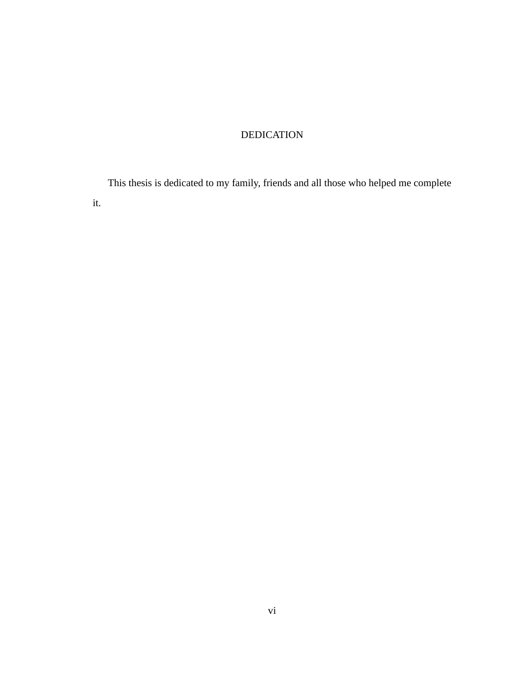#### DEDICATION

This thesis is dedicated to my family, friends and all those who helped me complete it.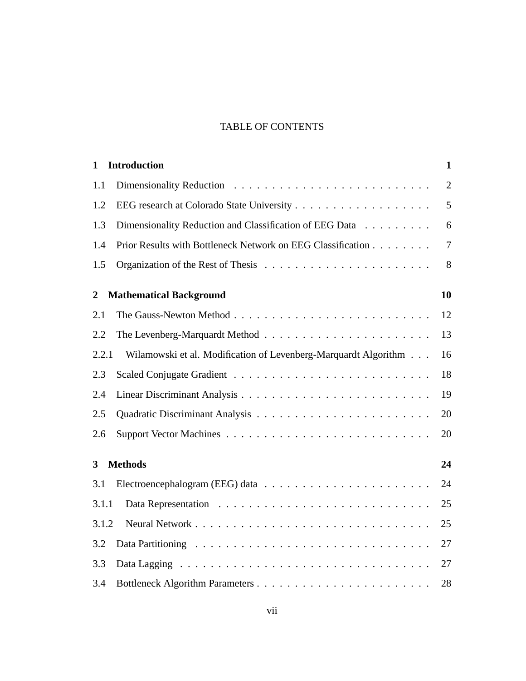#### TABLE OF CONTENTS

| $\mathbf{1}$   | <b>Introduction</b>                                             | $\mathbf{1}$   |
|----------------|-----------------------------------------------------------------|----------------|
| 1.1            |                                                                 | $\overline{2}$ |
| 1.2            |                                                                 | 5              |
| 1.3            | Dimensionality Reduction and Classification of EEG Data         | 6              |
| 1.4            | Prior Results with Bottleneck Network on EEG Classification     | $\overline{7}$ |
| 1.5            |                                                                 | 8              |
| $\overline{2}$ | <b>Mathematical Background</b>                                  | 10             |
| 2.1            |                                                                 | 12             |
| 2.2            |                                                                 | 13             |
| 2.2.1          | Wilamowski et al. Modification of Levenberg-Marquardt Algorithm | 16             |
| 2.3            |                                                                 | 18             |
| 2.4            |                                                                 | 19             |
| 2.5            |                                                                 | 20             |
| 2.6            |                                                                 | 20             |
| 3              | <b>Methods</b>                                                  | 24             |
| 3.1            |                                                                 | 24             |
| 3.1.1          |                                                                 | 25             |
| 3.1.2          |                                                                 | 25             |
| 3.2            |                                                                 | 27             |
| 3.3            |                                                                 | 27             |
| 3.4            |                                                                 | 28             |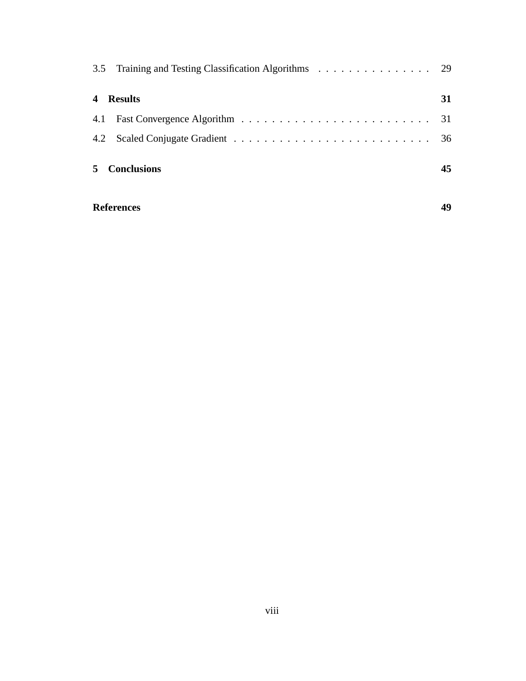| <b>Conclusions</b>                                    | 45 |
|-------------------------------------------------------|----|
|                                                       |    |
|                                                       |    |
| <b>Results</b>                                        | 31 |
| 3.5 Training and Testing Classification Algorithms 29 |    |
|                                                       |    |

#### **References 49**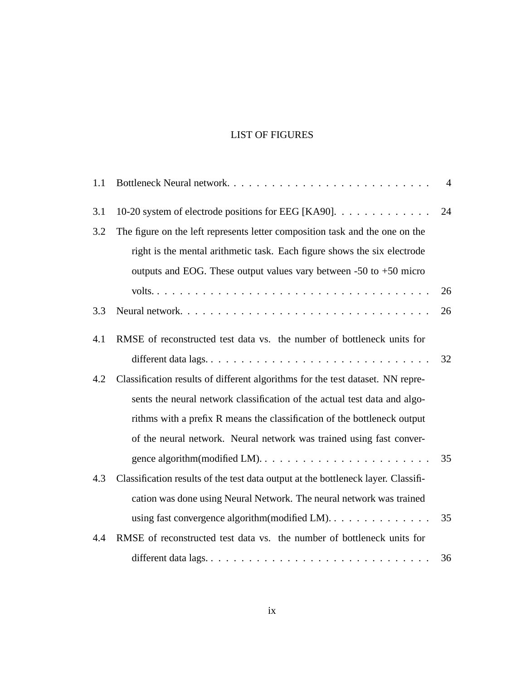#### LIST OF FIGURES

| 1.1 | Bottleneck Neural network                                                         | $\overline{4}$ |
|-----|-----------------------------------------------------------------------------------|----------------|
| 3.1 | 10-20 system of electrode positions for EEG [KA90].                               | 24             |
| 3.2 | The figure on the left represents letter composition task and the one on the      |                |
|     | right is the mental arithmetic task. Each figure shows the six electrode          |                |
|     | outputs and EOG. These output values vary between -50 to +50 micro                |                |
|     |                                                                                   | 26             |
| 3.3 |                                                                                   | 26             |
| 4.1 | RMSE of reconstructed test data vs. the number of bottleneck units for            |                |
|     |                                                                                   | 32             |
| 4.2 | Classification results of different algorithms for the test dataset. NN repre-    |                |
|     | sents the neural network classification of the actual test data and algo-         |                |
|     | rithms with a prefix R means the classification of the bottleneck output          |                |
|     | of the neural network. Neural network was trained using fast conver-              |                |
|     |                                                                                   | 35             |
| 4.3 | Classification results of the test data output at the bottleneck layer. Classifi- |                |
|     | cation was done using Neural Network. The neural network was trained              |                |
|     | using fast convergence algorithm (modified LM).                                   | 35             |
| 4.4 | RMSE of reconstructed test data vs. the number of bottleneck units for            |                |
|     | different data lags                                                               | 36             |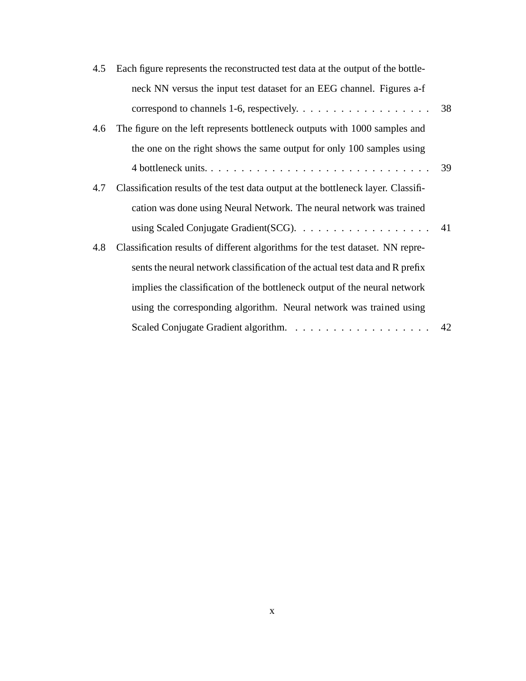| 4.5 | Each figure represents the reconstructed test data at the output of the bottle-       |    |
|-----|---------------------------------------------------------------------------------------|----|
|     | neck NN versus the input test dataset for an EEG channel. Figures a-f                 |    |
|     | correspond to channels 1-6, respectively. $\dots \dots \dots \dots \dots \dots$       | 38 |
| 4.6 | The figure on the left represents bottleneck outputs with 1000 samples and            |    |
|     | the one on the right shows the same output for only 100 samples using                 |    |
|     |                                                                                       | 39 |
| 4.7 | Classification results of the test data output at the bottleneck layer. Classifi-     |    |
|     | cation was done using Neural Network. The neural network was trained                  |    |
|     | using Scaled Conjugate Gradient (SCG). $\ldots \ldots \ldots \ldots \ldots \ldots$ 41 |    |
| 4.8 | Classification results of different algorithms for the test dataset. NN repre-        |    |
|     | sents the neural network classification of the actual test data and R prefix          |    |
|     | implies the classification of the bottleneck output of the neural network             |    |
|     | using the corresponding algorithm. Neural network was trained using                   |    |
|     |                                                                                       |    |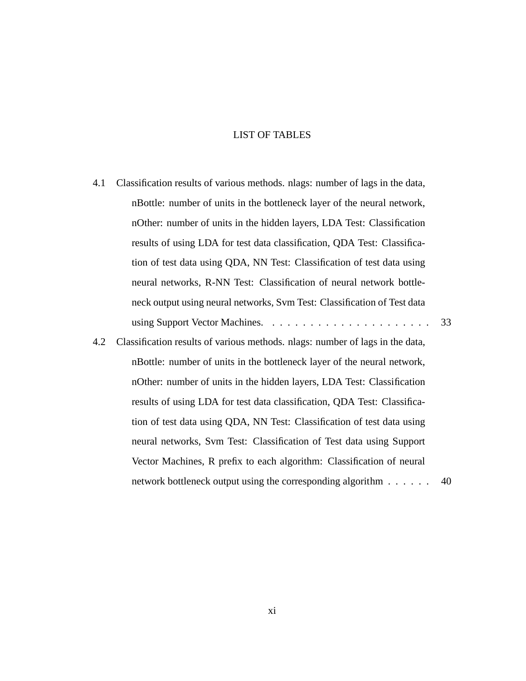#### LIST OF TABLES

- 4.1 Classification results of various methods. nlags: number of lags in the data, nBottle: number of units in the bottleneck layer of the neural network, nOther: number of units in the hidden layers, LDA Test: Classification results of using LDA for test data classification, QDA Test: Classification of test data using QDA, NN Test: Classification of test data using neural networks, R-NN Test: Classification of neural network bottleneck output using neural networks, Svm Test: Classification of Test data using Support Vector Machines. . . . . . . . . . . . . . . . . . . . . . 33
- 4.2 Classification results of various methods. nlags: number of lags in the data, nBottle: number of units in the bottleneck layer of the neural network, nOther: number of units in the hidden layers, LDA Test: Classification results of using LDA for test data classification, QDA Test: Classification of test data using QDA, NN Test: Classification of test data using neural networks, Svm Test: Classification of Test data using Support Vector Machines, R prefix to each algorithm: Classification of neural network bottleneck output using the corresponding algorithm . . . . . . 40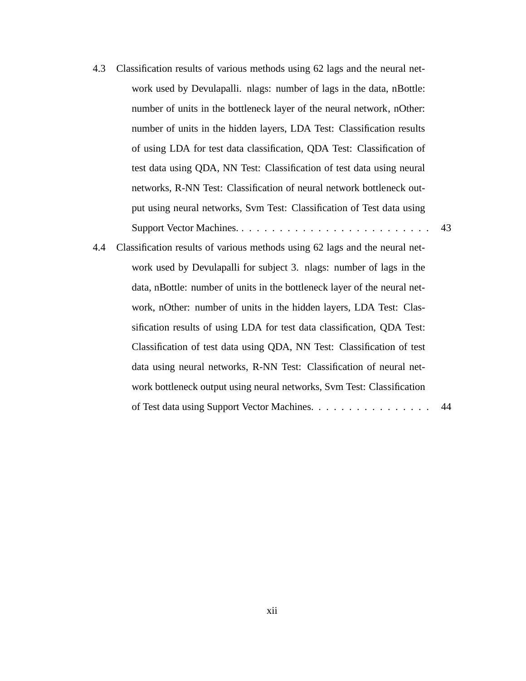- 4.3 Classification results of various methods using 62 lags and the neural network used by Devulapalli. nlags: number of lags in the data, nBottle: number of units in the bottleneck layer of the neural network, nOther: number of units in the hidden layers, LDA Test: Classification results of using LDA for test data classification, QDA Test: Classification of test data using QDA, NN Test: Classification of test data using neural networks, R-NN Test: Classification of neural network bottleneck output using neural networks, Svm Test: Classification of Test data using Support Vector Machines. . . . . . . . . . . . . . . . . . . . . . . . . . 43
- 4.4 Classification results of various methods using 62 lags and the neural network used by Devulapalli for subject 3. nlags: number of lags in the data, nBottle: number of units in the bottleneck layer of the neural network, nOther: number of units in the hidden layers, LDA Test: Classification results of using LDA for test data classification, QDA Test: Classification of test data using QDA, NN Test: Classification of test data using neural networks, R-NN Test: Classification of neural network bottleneck output using neural networks, Svm Test: Classification of Test data using Support Vector Machines. . . . . . . . . . . . . . . . 44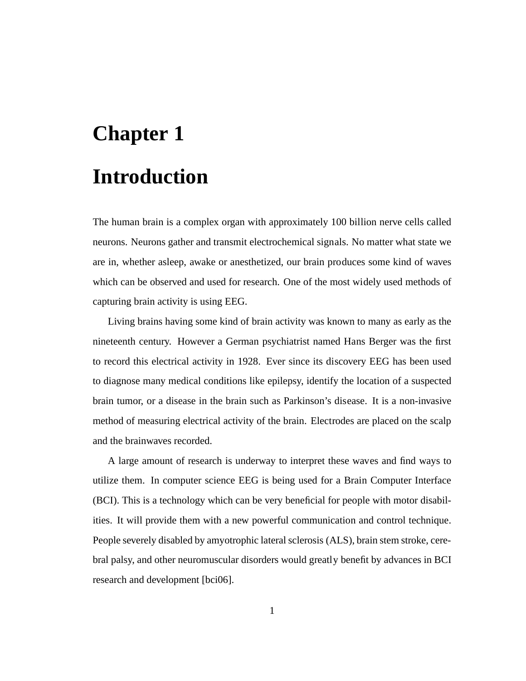# **Chapter 1 Introduction**

The human brain is a complex organ with approximately 100 billion nerve cells called neurons. Neurons gather and transmit electrochemical signals. No matter what state we are in, whether asleep, awake or anesthetized, our brain produces some kind of waves which can be observed and used for research. One of the most widely used methods of capturing brain activity is using EEG.

Living brains having some kind of brain activity was known to many as early as the nineteenth century. However a German psychiatrist named Hans Berger was the first to record this electrical activity in 1928. Ever since its discovery EEG has been used to diagnose many medical conditions like epilepsy, identify the location of a suspected brain tumor, or a disease in the brain such as Parkinson's disease. It is a non-invasive method of measuring electrical activity of the brain. Electrodes are placed on the scalp and the brainwaves recorded.

A large amount of research is underway to interpret these waves and find ways to utilize them. In computer science EEG is being used for a Brain Computer Interface (BCI). This is a technology which can be very beneficial for people with motor disabilities. It will provide them with a new powerful communication and control technique. People severely disabled by amyotrophic lateral sclerosis (ALS), brain stem stroke, cerebral palsy, and other neuromuscular disorders would greatly benefit by advances in BCI research and development [bci06].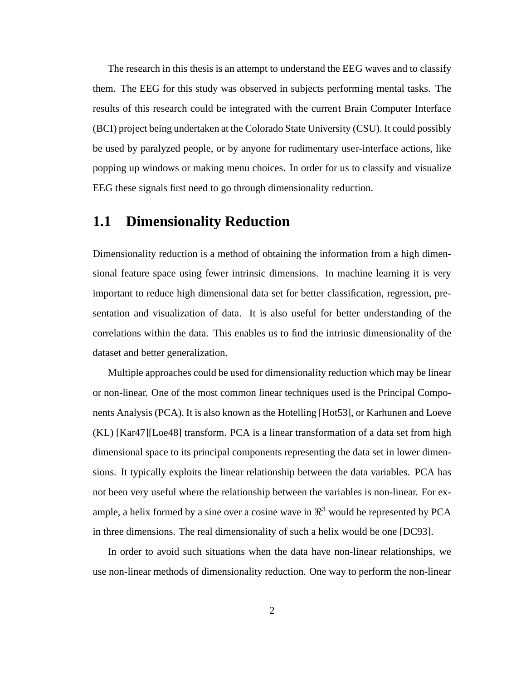The research in this thesis is an attempt to understand the EEG waves and to classify them. The EEG for this study was observed in subjects performing mental tasks. The results of this research could be integrated with the current Brain Computer Interface (BCI) project being undertaken at the Colorado State University (CSU). It could possibly be used by paralyzed people, or by anyone for rudimentary user-interface actions, like popping up windows or making menu choices. In order for us to classify and visualize EEG these signals first need to go through dimensionality reduction.

#### **1.1 Dimensionality Reduction**

Dimensionality reduction is a method of obtaining the information from a high dimensional feature space using fewer intrinsic dimensions. In machine learning it is very important to reduce high dimensional data set for better classification, regression, presentation and visualization of data. It is also useful for better understanding of the correlations within the data. This enables us to find the intrinsic dimensionality of the dataset and better generalization.

Multiple approaches could be used for dimensionality reduction which may be linear or non-linear. One of the most common linear techniques used is the Principal Components Analysis (PCA). It is also known as the Hotelling [Hot53], or Karhunen and Loeve (KL) [Kar47][Loe48] transform. PCA is a linear transformation of a data set from high dimensional space to its principal components representing the data set in lower dimensions. It typically exploits the linear relationship between the data variables. PCA has not been very useful where the relationship between the variables is non-linear. For example, a helix formed by a sine over a cosine wave in  $\Re^3$  would be represented by PCA in three dimensions. The real dimensionality of such a helix would be one [DC93].

In order to avoid such situations when the data have non-linear relationships, we use non-linear methods of dimensionality reduction. One way to perform the non-linear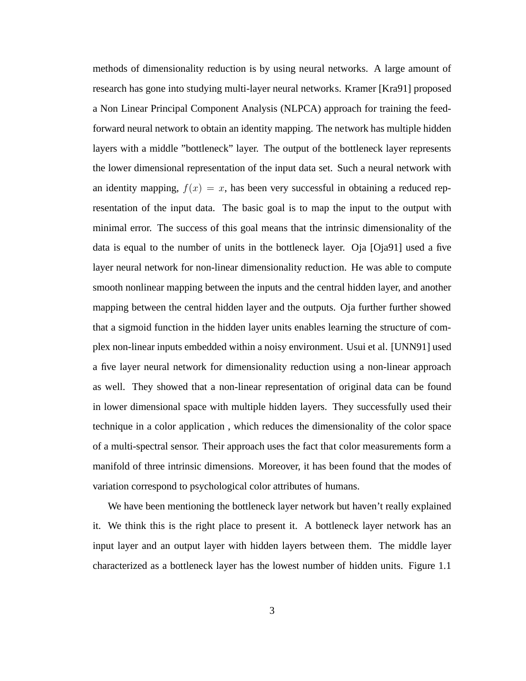methods of dimensionality reduction is by using neural networks. A large amount of research has gone into studying multi-layer neural networks. Kramer [Kra91] proposed a Non Linear Principal Component Analysis (NLPCA) approach for training the feedforward neural network to obtain an identity mapping. The network has multiple hidden layers with a middle "bottleneck" layer. The output of the bottleneck layer represents the lower dimensional representation of the input data set. Such a neural network with an identity mapping,  $f(x) = x$ , has been very successful in obtaining a reduced representation of the input data. The basic goal is to map the input to the output with minimal error. The success of this goal means that the intrinsic dimensionality of the data is equal to the number of units in the bottleneck layer. Oja [Oja91] used a five layer neural network for non-linear dimensionality reduction. He was able to compute smooth nonlinear mapping between the inputs and the central hidden layer, and another mapping between the central hidden layer and the outputs. Oja further further showed that a sigmoid function in the hidden layer units enables learning the structure of complex non-linear inputs embedded within a noisy environment. Usui et al. [UNN91] used a five layer neural network for dimensionality reduction using a non-linear approach as well. They showed that a non-linear representation of original data can be found in lower dimensional space with multiple hidden layers. They successfully used their technique in a color application , which reduces the dimensionality of the color space of a multi-spectral sensor. Their approach uses the fact that color measurements form a manifold of three intrinsic dimensions. Moreover, it has been found that the modes of variation correspond to psychological color attributes of humans.

We have been mentioning the bottleneck layer network but haven't really explained it. We think this is the right place to present it. A bottleneck layer network has an input layer and an output layer with hidden layers between them. The middle layer characterized as a bottleneck layer has the lowest number of hidden units. Figure 1.1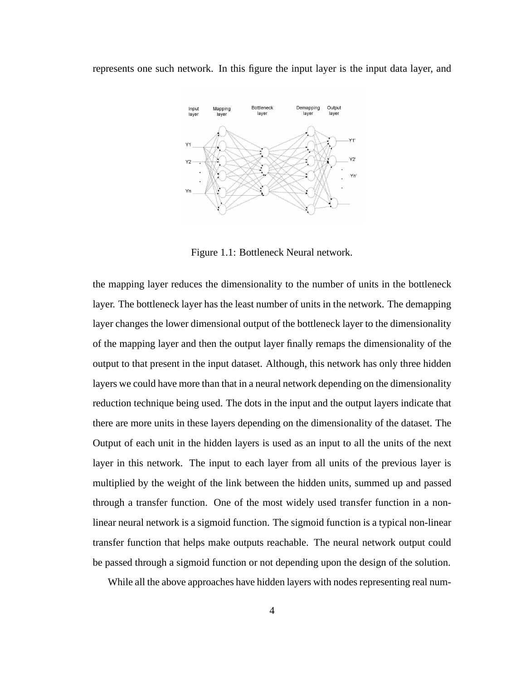represents one such network. In this figure the input layer is the input data layer, and



Figure 1.1: Bottleneck Neural network.

the mapping layer reduces the dimensionality to the number of units in the bottleneck layer. The bottleneck layer has the least number of units in the network. The demapping layer changes the lower dimensional output of the bottleneck layer to the dimensionality of the mapping layer and then the output layer finally remaps the dimensionality of the output to that present in the input dataset. Although, this network has only three hidden layers we could have more than that in a neural network depending on the dimensionality reduction technique being used. The dots in the input and the output layers indicate that there are more units in these layers depending on the dimensionality of the dataset. The Output of each unit in the hidden layers is used as an input to all the units of the next layer in this network. The input to each layer from all units of the previous layer is multiplied by the weight of the link between the hidden units, summed up and passed through a transfer function. One of the most widely used transfer function in a nonlinear neural network is a sigmoid function. The sigmoid function is a typical non-linear transfer function that helps make outputs reachable. The neural network output could be passed through a sigmoid function or not depending upon the design of the solution.

While all the above approaches have hidden layers with nodes representing real num-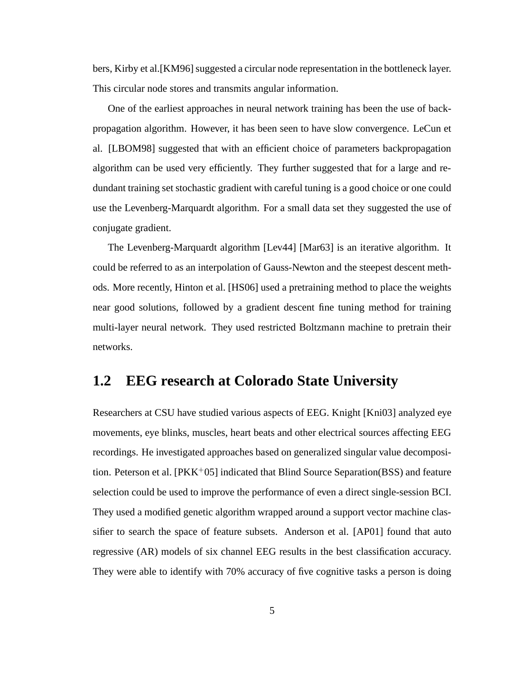bers, Kirby et al.[KM96] suggested a circular node representation in the bottleneck layer. This circular node stores and transmits angular information.

One of the earliest approaches in neural network training has been the use of backpropagation algorithm. However, it has been seen to have slow convergence. LeCun et al. [LBOM98] suggested that with an efficient choice of parameters backpropagation algorithm can be used very efficiently. They further suggested that for a large and redundant training set stochastic gradient with careful tuning is a good choice or one could use the Levenberg-Marquardt algorithm. For a small data set they suggested the use of conjugate gradient.

The Levenberg-Marquardt algorithm [Lev44] [Mar63] is an iterative algorithm. It could be referred to as an interpolation of Gauss-Newton and the steepest descent methods. More recently, Hinton et al. [HS06] used a pretraining method to place the weights near good solutions, followed by a gradient descent fine tuning method for training multi-layer neural network. They used restricted Boltzmann machine to pretrain their networks.

### **1.2 EEG research at Colorado State University**

Researchers at CSU have studied various aspects of EEG. Knight [Kni03] analyzed eye movements, eye blinks, muscles, heart beats and other electrical sources affecting EEG recordings. He investigated approaches based on generalized singular value decomposition. Peterson et al.  $[PKK^+05]$  indicated that Blind Source Separation(BSS) and feature selection could be used to improve the performance of even a direct single-session BCI. They used a modified genetic algorithm wrapped around a support vector machine classifier to search the space of feature subsets. Anderson et al. [AP01] found that auto regressive (AR) models of six channel EEG results in the best classification accuracy. They were able to identify with 70% accuracy of five cognitive tasks a person is doing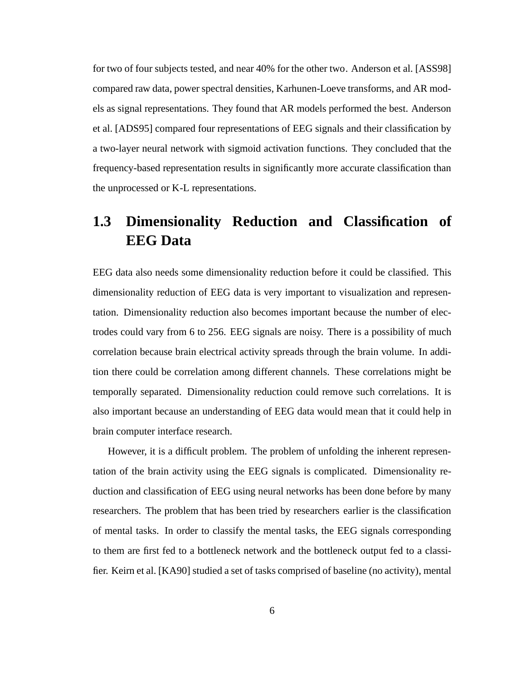for two of four subjects tested, and near 40% for the other two. Anderson et al. [ASS98] compared raw data, power spectral densities, Karhunen-Loeve transforms, and AR models as signal representations. They found that AR models performed the best. Anderson et al. [ADS95] compared four representations of EEG signals and their classification by a two-layer neural network with sigmoid activation functions. They concluded that the frequency-based representation results in significantly more accurate classification than the unprocessed or K-L representations.

## **1.3 Dimensionality Reduction and Classification of EEG Data**

EEG data also needs some dimensionality reduction before it could be classified. This dimensionality reduction of EEG data is very important to visualization and representation. Dimensionality reduction also becomes important because the number of electrodes could vary from 6 to 256. EEG signals are noisy. There is a possibility of much correlation because brain electrical activity spreads through the brain volume. In addition there could be correlation among different channels. These correlations might be temporally separated. Dimensionality reduction could remove such correlations. It is also important because an understanding of EEG data would mean that it could help in brain computer interface research.

However, it is a difficult problem. The problem of unfolding the inherent representation of the brain activity using the EEG signals is complicated. Dimensionality reduction and classification of EEG using neural networks has been done before by many researchers. The problem that has been tried by researchers earlier is the classification of mental tasks. In order to classify the mental tasks, the EEG signals corresponding to them are first fed to a bottleneck network and the bottleneck output fed to a classifier. Keirn et al. [KA90] studied a set of tasks comprised of baseline (no activity), mental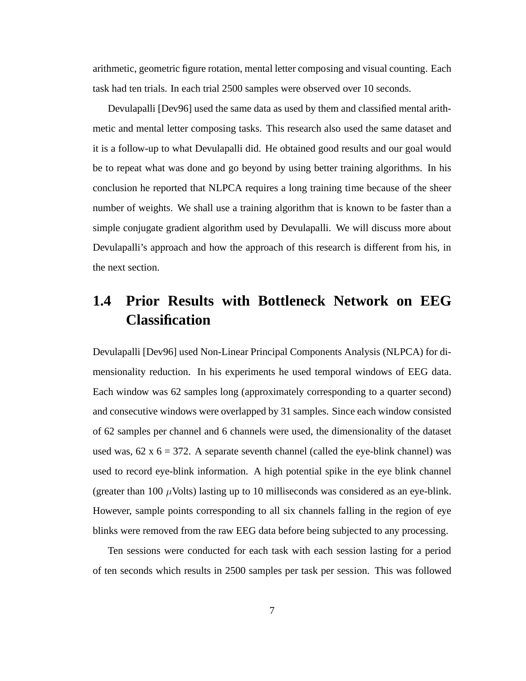arithmetic, geometric figure rotation, mental letter composing and visual counting. Each task had ten trials. In each trial 2500 samples were observed over 10 seconds.

Devulapalli [Dev96] used the same data as used by them and classified mental arithmetic and mental letter composing tasks. This research also used the same dataset and it is a follow-up to what Devulapalli did. He obtained good results and our goal would be to repeat what was done and go beyond by using better training algorithms. In his conclusion he reported that NLPCA requires a long training time because of the sheer number of weights. We shall use a training algorithm that is known to be faster than a simple conjugate gradient algorithm used by Devulapalli. We will discuss more about Devulapalli's approach and how the approach of this research is different from his, in the next section.

## **1.4 Prior Results with Bottleneck Network on EEG Classification**

Devulapalli [Dev96] used Non-Linear Principal Components Analysis (NLPCA) for dimensionality reduction. In his experiments he used temporal windows of EEG data. Each window was 62 samples long (approximately corresponding to a quarter second) and consecutive windows were overlapped by 31 samples. Since each window consisted of 62 samples per channel and 6 channels were used, the dimensionality of the dataset used was,  $62 \times 6 = 372$ . A separate seventh channel (called the eye-blink channel) was used to record eye-blink information. A high potential spike in the eye blink channel (greater than 100  $\mu$ Volts) lasting up to 10 milliseconds was considered as an eye-blink. However, sample points corresponding to all six channels falling in the region of eye blinks were removed from the raw EEG data before being subjected to any processing.

Ten sessions were conducted for each task with each session lasting for a period of ten seconds which results in 2500 samples per task per session. This was followed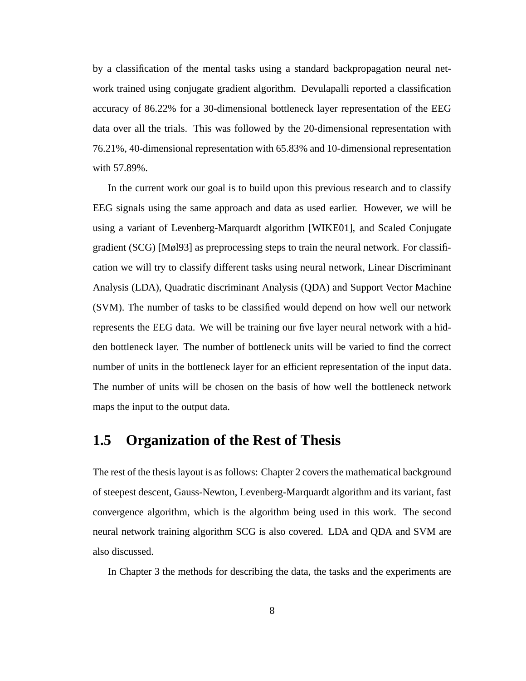by a classification of the mental tasks using a standard backpropagation neural network trained using conjugate gradient algorithm. Devulapalli reported a classification accuracy of 86.22% for a 30-dimensional bottleneck layer representation of the EEG data over all the trials. This was followed by the 20-dimensional representation with 76.21%, 40-dimensional representation with 65.83% and 10-dimensional representation with 57.89%.

In the current work our goal is to build upon this previous research and to classify EEG signals using the same approach and data as used earlier. However, we will be using a variant of Levenberg-Marquardt algorithm [WIKE01], and Scaled Conjugate gradient (SCG) [Møl93] as preprocessing steps to train the neural network. For classification we will try to classify different tasks using neural network, Linear Discriminant Analysis (LDA), Quadratic discriminant Analysis (QDA) and Support Vector Machine (SVM). The number of tasks to be classified would depend on how well our network represents the EEG data. We will be training our five layer neural network with a hidden bottleneck layer. The number of bottleneck units will be varied to find the correct number of units in the bottleneck layer for an efficient representation of the input data. The number of units will be chosen on the basis of how well the bottleneck network maps the input to the output data.

#### **1.5 Organization of the Rest of Thesis**

The rest of the thesis layout is as follows: Chapter 2 covers the mathematical background of steepest descent, Gauss-Newton, Levenberg-Marquardt algorithm and its variant, fast convergence algorithm, which is the algorithm being used in this work. The second neural network training algorithm SCG is also covered. LDA and QDA and SVM are also discussed.

In Chapter 3 the methods for describing the data, the tasks and the experiments are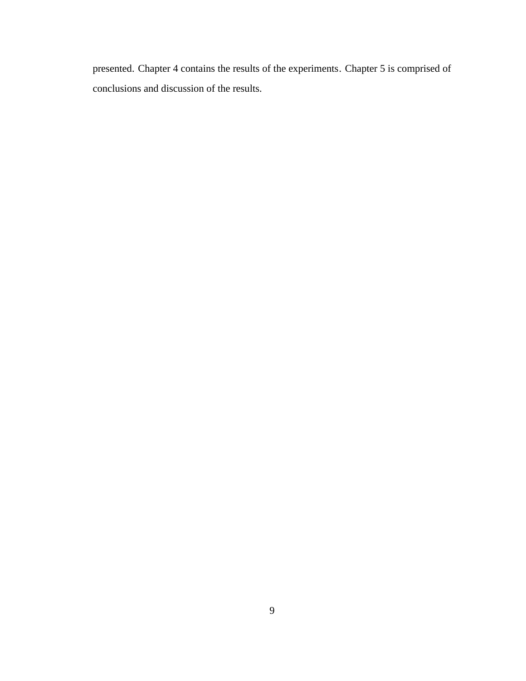presented. Chapter 4 contains the results of the experiments. Chapter 5 is comprised of conclusions and discussion of the results.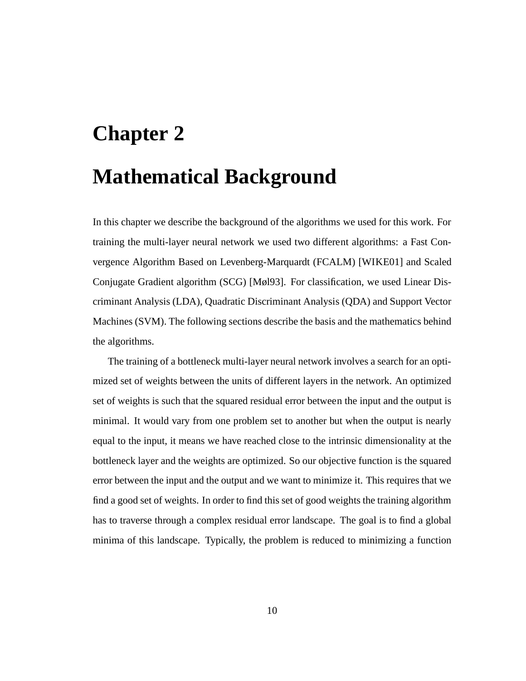# **Chapter 2**

## **Mathematical Background**

In this chapter we describe the background of the algorithms we used for this work. For training the multi-layer neural network we used two different algorithms: a Fast Convergence Algorithm Based on Levenberg-Marquardt (FCALM) [WIKE01] and Scaled Conjugate Gradient algorithm (SCG) [Møl93]. For classification, we used Linear Discriminant Analysis (LDA), Quadratic Discriminant Analysis (QDA) and Support Vector Machines (SVM). The following sections describe the basis and the mathematics behind the algorithms.

The training of a bottleneck multi-layer neural network involves a search for an optimized set of weights between the units of different layers in the network. An optimized set of weights is such that the squared residual error between the input and the output is minimal. It would vary from one problem set to another but when the output is nearly equal to the input, it means we have reached close to the intrinsic dimensionality at the bottleneck layer and the weights are optimized. So our objective function is the squared error between the input and the output and we want to minimize it. This requires that we find a good set of weights. In order to find this set of good weights the training algorithm has to traverse through a complex residual error landscape. The goal is to find a global minima of this landscape. Typically, the problem is reduced to minimizing a function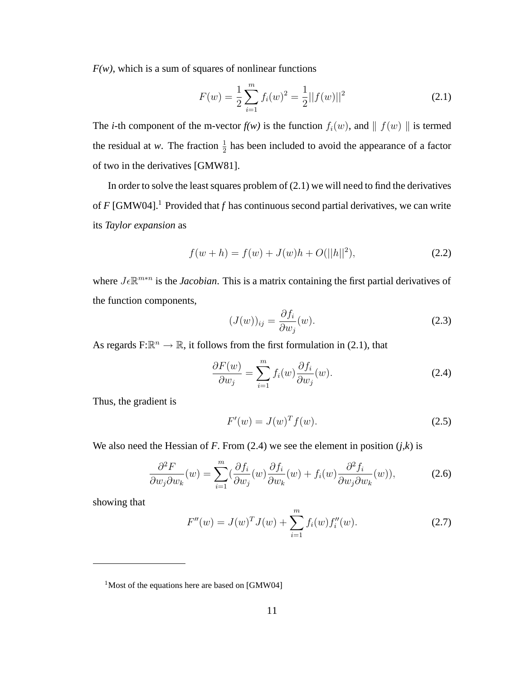$F(w)$ , which is a sum of squares of nonlinear functions

$$
F(w) = \frac{1}{2} \sum_{i=1}^{m} f_i(w)^2 = \frac{1}{2} ||f(w)||^2
$$
 (2.1)

The *i*-th component of the m-vector  $f(w)$  is the function  $f_i(w)$ , and  $\| f(w) \|$  is termed the residual at *w*. The fraction  $\frac{1}{2}$  has been included to avoid the appearance of a factor of two in the derivatives [GMW81].

In order to solve the least squares problem of  $(2.1)$  we will need to find the derivatives of  $F$  [GMW04].<sup>1</sup> Provided that  $f$  has continuous second partial derivatives, we can write its *Taylor expansion* as

$$
f(w+h) = f(w) + J(w)h + O(||h||^2),
$$
\n(2.2)

where  $J \in \mathbb{R}^{m*n}$  is the *Jacobian*. This is a matrix containing the first partial derivatives of the function components,

$$
(J(w))_{ij} = \frac{\partial f_i}{\partial w_j}(w). \tag{2.3}
$$

As regards  $F: \mathbb{R}^n \to \mathbb{R}$ , it follows from the first formulation in (2.1), that

$$
\frac{\partial F(w)}{\partial w_j} = \sum_{i=1}^m f_i(w) \frac{\partial f_i}{\partial w_j}(w).
$$
\n(2.4)

Thus, the gradient is

$$
F'(w) = J(w)^T f(w). \tag{2.5}
$$

We also need the Hessian of *F*. From  $(2.4)$  we see the element in position  $(j, k)$  is

$$
\frac{\partial^2 F}{\partial w_j \partial w_k}(w) = \sum_{i=1}^m \left(\frac{\partial f_i}{\partial w_j}(w)\frac{\partial f_i}{\partial w_k}(w) + f_i(w)\frac{\partial^2 f_i}{\partial w_j \partial w_k}(w)\right),\tag{2.6}
$$

showing that

$$
F''(w) = J(w)^T J(w) + \sum_{i=1}^{m} f_i(w) f''_i(w).
$$
 (2.7)

<sup>&</sup>lt;sup>1</sup>Most of the equations here are based on [GMW04]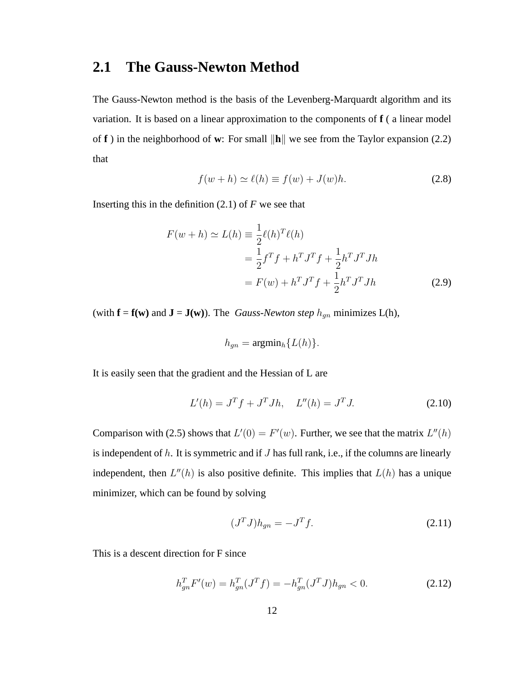#### **2.1 The Gauss-Newton Method**

The Gauss-Newton method is the basis of the Levenberg-Marquardt algorithm and its variation. It is based on a linear approximation to the components of **f** ( a linear model of **f** ) in the neighborhood of **w**: For small  $\|\mathbf{h}\|$  we see from the Taylor expansion (2.2) that

$$
f(w+h) \simeq \ell(h) \equiv f(w) + J(w)h. \tag{2.8}
$$

Inserting this in the definition  $(2.1)$  of *F* we see that

$$
F(w+h) \simeq L(h) \equiv \frac{1}{2} \ell(h)^T \ell(h)
$$
  
=  $\frac{1}{2} f^T f + h^T J^T f + \frac{1}{2} h^T J^T J h$   
=  $F(w) + h^T J^T f + \frac{1}{2} h^T J^T J h$  (2.9)

(with  $f = f(w)$  and  $J = J(w)$ ). The *Gauss-Newton step*  $h_{gn}$  minimizes L(h),

$$
h_{gn} = \operatorname{argmin}_h \{L(h)\}.
$$

It is easily seen that the gradient and the Hessian of L are

$$
L'(h) = J^T f + J^T J h, \quad L''(h) = J^T J. \tag{2.10}
$$

Comparison with (2.5) shows that  $L'(0) = F'(w)$ . Further, we see that the matrix  $L''(h)$ is independent of  $h$ . It is symmetric and if  $J$  has full rank, i.e., if the columns are linearly independent, then  $L''(h)$  is also positive definite. This implies that  $L(h)$  has a unique minimizer, which can be found by solving

$$
(JT J)hgn = -JT f.
$$
\n(2.11)

This is a descent direction for F since

$$
h_{gn}^T F'(w) = h_{gn}^T (J^T f) = -h_{gn}^T (J^T J) h_{gn} < 0.
$$
 (2.12)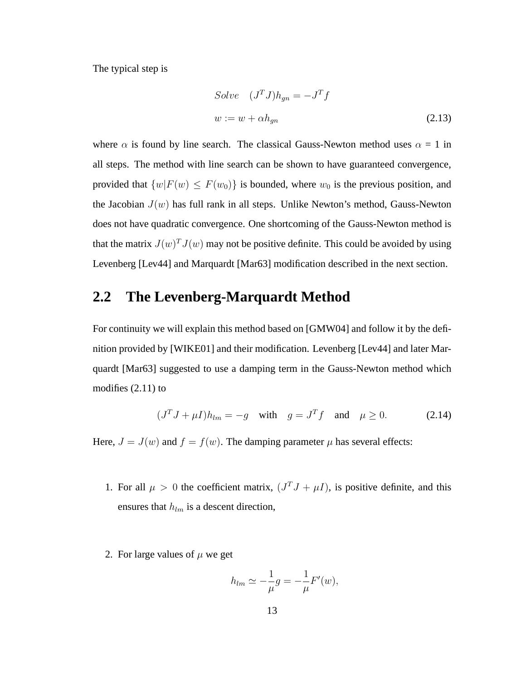The typical step is

Solve 
$$
(J^T J)h_{gn} = -J^T f
$$
  
\n
$$
w := w + \alpha h_{gn}
$$
\n(2.13)

where  $\alpha$  is found by line search. The classical Gauss-Newton method uses  $\alpha = 1$  in all steps. The method with line search can be shown to have guaranteed convergence, provided that  $\{w|F(w) \leq F(w_0)\}\$ is bounded, where  $w_0$  is the previous position, and the Jacobian  $J(w)$  has full rank in all steps. Unlike Newton's method, Gauss-Newton does not have quadratic convergence. One shortcoming of the Gauss-Newton method is that the matrix  $J(w)^T J(w)$  may not be positive definite. This could be avoided by using Levenberg [Lev44] and Marquardt [Mar63] modification described in the next section.

#### **2.2 The Levenberg-Marquardt Method**

For continuity we will explain this method based on [GMW04] and follow it by the definition provided by [WIKE01] and their modification. Levenberg [Lev44] and later Marquardt [Mar63] suggested to use a damping term in the Gauss-Newton method which modifies (2.11) to

$$
(JT J + \mu I)hlm = -g \quad \text{with} \quad g = JT f \quad \text{and} \quad \mu \ge 0. \tag{2.14}
$$

Here,  $J = J(w)$  and  $f = f(w)$ . The damping parameter  $\mu$  has several effects:

- 1. For all  $\mu > 0$  the coefficient matrix,  $(J^T J + \mu I)$ , is positive definite, and this ensures that  $h_{lm}$  is a descent direction,
- 2. For large values of  $\mu$  we get

$$
h_{lm} \simeq -\frac{1}{\mu}g = -\frac{1}{\mu}F'(w),
$$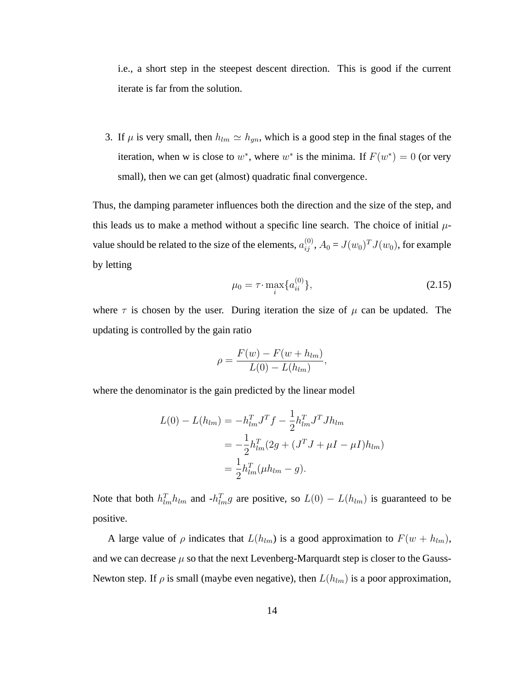i.e., a short step in the steepest descent direction. This is good if the current iterate is far from the solution.

3. If  $\mu$  is very small, then  $h_{lm} \simeq h_{gn}$ , which is a good step in the final stages of the iteration, when w is close to  $w^*$ , where  $w^*$  is the minima. If  $F(w^*) = 0$  (or very small), then we can get (almost) quadratic final convergence.

Thus, the damping parameter influences both the direction and the size of the step, and this leads us to make a method without a specific line search. The choice of initial  $\mu$ value should be related to the size of the elements,  $a_{ij}^{(0)}$ ,  $A_0 = J(w_0)^T J(w_0)$ , for example by letting

$$
\mu_0 = \tau \cdot \max_i \{ a_{ii}^{(0)} \},\tag{2.15}
$$

where  $\tau$  is chosen by the user. During iteration the size of  $\mu$  can be updated. The updating is controlled by the gain ratio

$$
\rho = \frac{F(w) - F(w + h_{lm})}{L(0) - L(h_{lm})},
$$

where the denominator is the gain predicted by the linear model

$$
L(0) - L(h_{lm}) = -h_{lm}^T J^T f - \frac{1}{2} h_{lm}^T J^T J h_{lm}
$$
  
=  $-\frac{1}{2} h_{lm}^T (2g + (J^T J + \mu I - \mu I) h_{lm})$   
=  $\frac{1}{2} h_{lm}^T (\mu h_{lm} - g).$ 

Note that both  $h_{lm}^T h_{lm}$  and  $-h_{lm}^T g$  are positive, so  $L(0) - L(h_{lm})$  is guaranteed to be positive.

A large value of  $\rho$  indicates that  $L(h_{lm})$  is a good approximation to  $F(w + h_{lm})$ , and we can decrease  $\mu$  so that the next Levenberg-Marquardt step is closer to the Gauss-Newton step. If  $\rho$  is small (maybe even negative), then  $L(h_{lm})$  is a poor approximation,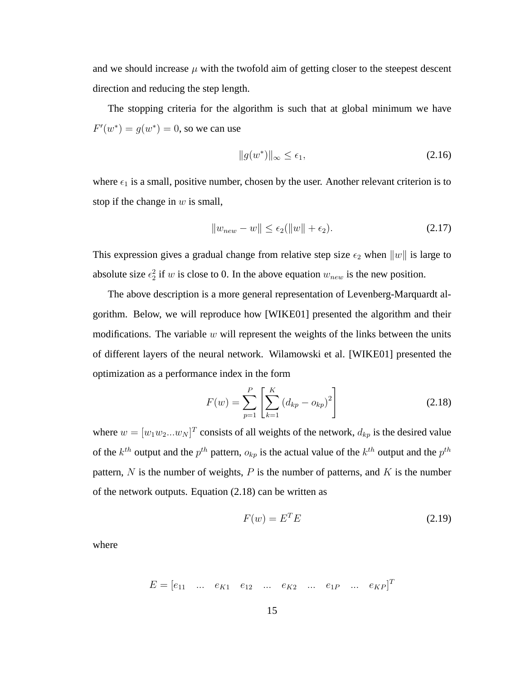and we should increase  $\mu$  with the twofold aim of getting closer to the steepest descent direction and reducing the step length.

The stopping criteria for the algorithm is such that at global minimum we have  $F'(w^*) = g(w^*) = 0$ , so we can use

$$
||g(w^*)||_{\infty} \le \epsilon_1,\tag{2.16}
$$

where  $\epsilon_1$  is a small, positive number, chosen by the user. Another relevant criterion is to stop if the change in  $w$  is small,

$$
||w_{new} - w|| \le \epsilon_2(||w|| + \epsilon_2). \tag{2.17}
$$

This expression gives a gradual change from relative step size  $\epsilon_2$  when  $||w||$  is large to absolute size  $\epsilon_2^2$  if w is close to 0. In the above equation  $w_{new}$  is the new position.

The above description is a more general representation of Levenberg-Marquardt algorithm. Below, we will reproduce how [WIKE01] presented the algorithm and their modifications. The variable  $w$  will represent the weights of the links between the units of different layers of the neural network. Wilamowski et al. [WIKE01] presented the optimization as a performance index in the form

$$
F(w) = \sum_{p=1}^{P} \left[ \sum_{k=1}^{K} (d_{kp} - o_{kp})^2 \right]
$$
 (2.18)

where  $w = [w_1 w_2 ... w_N]^T$  consists of all weights of the network,  $d_{kp}$  is the desired value of the  $k^{th}$  output and the  $p^{th}$  pattern,  $o_{kp}$  is the actual value of the  $k^{th}$  output and the  $p^{th}$ pattern, N is the number of weights, P is the number of patterns, and K is the number of the network outputs. Equation (2.18) can be written as

$$
F(w) = ET E
$$
 (2.19)

where

$$
E = [e_{11} \quad \dots \quad e_{K1} \quad e_{12} \quad \dots \quad e_{K2} \quad \dots \quad e_{1P} \quad \dots \quad e_{KP}]^T
$$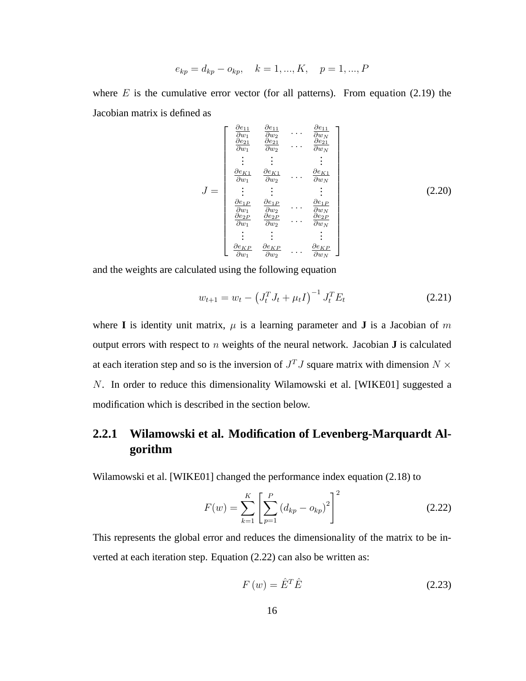$$
e_{kp} = d_{kp} - o_{kp}, \quad k = 1, ..., K, \quad p = 1, ..., P
$$

where  $E$  is the cumulative error vector (for all patterns). From equation (2.19) the Jacobian matrix is defined as

$$
J = \begin{bmatrix} \frac{\partial e_{11}}{\partial w_1} & \frac{\partial e_{11}}{\partial w_2} & \cdots & \frac{\partial e_{11}}{\partial w_N} \\ \frac{\partial e_{21}}{\partial w_1} & \frac{\partial e_{21}}{\partial w_2} & \cdots & \frac{\partial e_{21}}{\partial w_N} \\ \vdots & \vdots & \vdots & \vdots \\ \frac{\partial e_{K1}}{\partial w_1} & \frac{\partial e_{K1}}{\partial w_2} & \cdots & \frac{\partial e_{K1}}{\partial w_N} \\ \vdots & \vdots & \vdots & \vdots \\ \frac{\partial e_{1P}}{\partial w_1} & \frac{\partial e_{1P}}{\partial w_2} & \cdots & \frac{\partial e_{1P}}{\partial w_N} \\ \frac{\partial e_{2P}}{\partial w_1} & \frac{\partial e_{2P}}{\partial w_2} & \cdots & \frac{\partial e_{2P}}{\partial w_N} \\ \vdots & \vdots & \vdots & \vdots \\ \frac{\partial e_{KP}}{\partial w_1} & \frac{\partial e_{KP}}{\partial w_2} & \cdots & \frac{\partial e_{KP}}{\partial w_N} \end{bmatrix}
$$
(2.20)

and the weights are calculated using the following equation

$$
w_{t+1} = w_t - \left(J_t^T J_t + \mu_t I\right)^{-1} J_t^T E_t \tag{2.21}
$$

where **I** is identity unit matrix,  $\mu$  is a learning parameter and **J** is a Jacobian of m output errors with respect to n weights of the neural network. Jacobian **J** is calculated at each iteration step and so is the inversion of  $J<sup>T</sup>J$  square matrix with dimension  $N \times$ N. In order to reduce this dimensionality Wilamowski et al. [WIKE01] suggested a modification which is described in the section below.

#### **2.2.1 Wilamowski et al. Modification of Levenberg-Marquardt Algorithm**

Wilamowski et al. [WIKE01] changed the performance index equation (2.18) to

$$
F(w) = \sum_{k=1}^{K} \left[ \sum_{p=1}^{P} (d_{kp} - o_{kp})^2 \right]^2
$$
 (2.22)

This represents the global error and reduces the dimensionality of the matrix to be inverted at each iteration step. Equation (2.22) can also be written as:

$$
F(w) = \hat{E}^T \hat{E}
$$
 (2.23)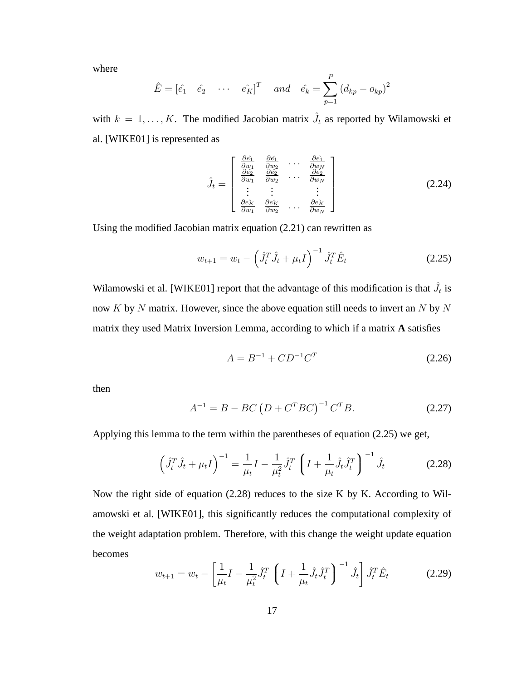where

$$
\hat{E} = [\hat{e}_1 \quad \hat{e}_2 \quad \cdots \quad \hat{e}_K]^T
$$
 and  $\hat{e}_k = \sum_{p=1}^P (d_{kp} - o_{kp})^2$ 

with  $k = 1, ..., K$ . The modified Jacobian matrix  $\hat{J}_t$  as reported by Wilamowski et al. [WIKE01] is represented as

$$
\hat{J}_t = \begin{bmatrix}\n\frac{\partial \hat{e_1}}{\partial w_1} & \frac{\partial \hat{e_1}}{\partial w_2} & \cdots & \frac{\partial \hat{e_1}}{\partial w_N} \\
\frac{\partial \hat{e_2}}{\partial w_1} & \frac{\partial \hat{e_2}}{\partial w_2} & \cdots & \frac{\partial \hat{e_2}}{\partial w_N} \\
\vdots & \vdots & & \vdots \\
\frac{\partial \hat{e_K}}{\partial w_1} & \frac{\partial \hat{e_K}}{\partial w_2} & \cdots & \frac{\partial \hat{e_K}}{\partial w_N}\n\end{bmatrix}
$$
\n(2.24)

Using the modified Jacobian matrix equation (2.21) can rewritten as

$$
w_{t+1} = w_t - \left(\hat{J}_t^T \hat{J}_t + \mu_t I\right)^{-1} \hat{J}_t^T \hat{E}_t
$$
 (2.25)

Wilamowski et al. [WIKE01] report that the advantage of this modification is that  $\hat{J}_t$  is now  $K$  by  $N$  matrix. However, since the above equation still needs to invert an  $N$  by  $N$ matrix they used Matrix Inversion Lemma, according to which if a matrix **A** satisfies

$$
A = B^{-1} + CD^{-1}C^{T}
$$
 (2.26)

then

$$
A^{-1} = B - BC (D + C^{T} BC)^{-1} C^{T} B.
$$
 (2.27)

Applying this lemma to the term within the parentheses of equation (2.25) we get,

$$
\left(\hat{J}_t^T \hat{J}_t + \mu_t I\right)^{-1} = \frac{1}{\mu_t} I - \frac{1}{\mu_t^2} \hat{J}_t^T \left(I + \frac{1}{\mu_t} \hat{J}_t \hat{J}_t^T\right)^{-1} \hat{J}_t
$$
\n(2.28)

Now the right side of equation (2.28) reduces to the size K by K. According to Wilamowski et al. [WIKE01], this significantly reduces the computational complexity of the weight adaptation problem. Therefore, with this change the weight update equation becomes

$$
w_{t+1} = w_t - \left[\frac{1}{\mu_t}I - \frac{1}{\mu_t^2}\hat{J}_t^T \left(I + \frac{1}{\mu_t}\hat{J}_t\hat{J}_t^T\right)^{-1}\hat{J}_t\right]\hat{J}_t^T\hat{E}_t
$$
 (2.29)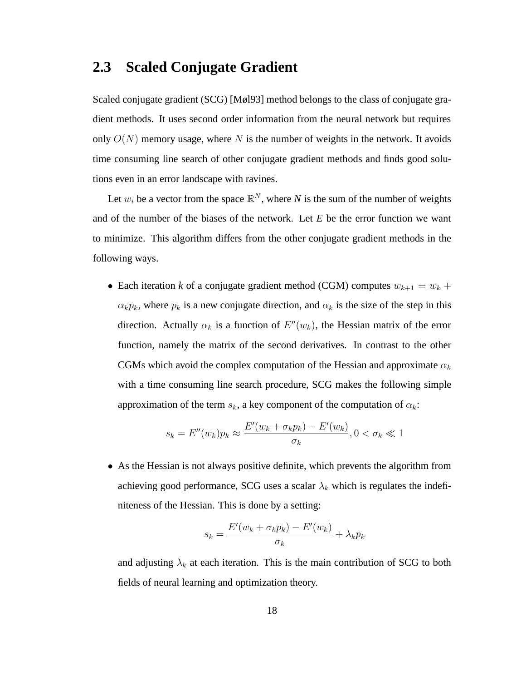#### **2.3 Scaled Conjugate Gradient**

Scaled conjugate gradient (SCG) [Møl93] method belongs to the class of conjugate gradient methods. It uses second order information from the neural network but requires only  $O(N)$  memory usage, where N is the number of weights in the network. It avoids time consuming line search of other conjugate gradient methods and finds good solutions even in an error landscape with ravines.

Let  $w_i$  be a vector from the space  $\mathbb{R}^N$ , where *N* is the sum of the number of weights and of the number of the biases of the network. Let *E* be the error function we want to minimize. This algorithm differs from the other conjugate gradient methods in the following ways.

• Each iteration *k* of a conjugate gradient method (CGM) computes  $w_{k+1} = w_k +$  $\alpha_k p_k$ , where  $p_k$  is a new conjugate direction, and  $\alpha_k$  is the size of the step in this direction. Actually  $\alpha_k$  is a function of  $E''(w_k)$ , the Hessian matrix of the error function, namely the matrix of the second derivatives. In contrast to the other CGMs which avoid the complex computation of the Hessian and approximate  $\alpha_k$ with a time consuming line search procedure, SCG makes the following simple approximation of the term  $s_k$ , a key component of the computation of  $\alpha_k$ :

$$
s_k = E''(w_k)p_k \approx \frac{E'(w_k + \sigma_k p_k) - E'(w_k)}{\sigma_k}, 0 < \sigma_k \ll 1
$$

• As the Hessian is not always positive definite, which prevents the algorithm from achieving good performance, SCG uses a scalar  $\lambda_k$  which is regulates the indefiniteness of the Hessian. This is done by a setting:

$$
s_k = \frac{E'(w_k + \sigma_k p_k) - E'(w_k)}{\sigma_k} + \lambda_k p_k
$$

and adjusting  $\lambda_k$  at each iteration. This is the main contribution of SCG to both fields of neural learning and optimization theory.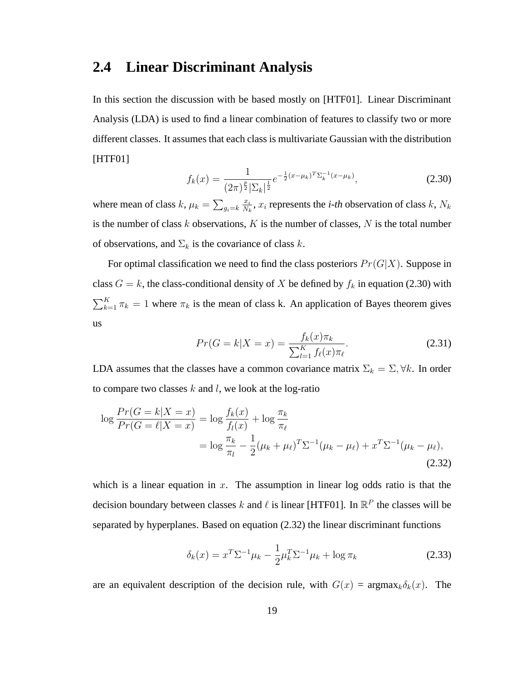#### **2.4 Linear Discriminant Analysis**

In this section the discussion with be based mostly on [HTF01]. Linear Discriminant Analysis (LDA) is used to find a linear combination of features to classify two or more different classes. It assumes that each class is multivariate Gaussian with the distribution [HTF01]

$$
f_k(x) = \frac{1}{(2\pi)^{\frac{p}{2}} |\Sigma_k|^{\frac{1}{2}}} e^{-\frac{1}{2}(x-\mu_k)^T \Sigma_k^{-1} (x-\mu_k)},
$$
\n(2.30)

where mean of class  $k, \mu_k = \sum_{g_i=k}$  $\overline{x_i}$  $\frac{x_i}{N_k}$ ,  $x_i$  represents the *i-th* observation of class  $k$ ,  $N_k$ is the number of class  $k$  observations,  $K$  is the number of classes,  $N$  is the total number of observations, and  $\Sigma_k$  is the covariance of class k.

For optimal classification we need to find the class posteriors  $Pr(G|X)$ . Suppose in class  $G = k$ , the class-conditional density of X be defined by  $f_k$  in equation (2.30) with  $\sum_{k=1}^{K} \pi_k = 1$  where  $\pi_k$  is the mean of class k. An application of Bayes theorem gives us

$$
Pr(G = k|X = x) = \frac{f_k(x)\pi_k}{\sum_{l=1}^{K} f_{\ell}(x)\pi_{\ell}}.
$$
\n(2.31)

LDA assumes that the classes have a common covariance matrix  $\Sigma_k = \Sigma, \forall k$ . In order to compare two classes  $k$  and  $l$ , we look at the log-ratio

$$
\log \frac{Pr(G = k|X = x)}{Pr(G = \ell|X = x)} = \log \frac{f_k(x)}{f_l(x)} + \log \frac{\pi_k}{\pi_\ell}
$$
  
= 
$$
\log \frac{\pi_k}{\pi_l} - \frac{1}{2} (\mu_k + \mu_\ell)^T \Sigma^{-1} (\mu_k - \mu_\ell) + x^T \Sigma^{-1} (\mu_k - \mu_\ell),
$$
(2.32)

which is a linear equation in  $x$ . The assumption in linear log odds ratio is that the decision boundary between classes k and  $\ell$  is linear [HTF01]. In  $\mathbb{R}^P$  the classes will be separated by hyperplanes. Based on equation (2.32) the linear discriminant functions

$$
\delta_k(x) = x^T \Sigma^{-1} \mu_k - \frac{1}{2} \mu_k^T \Sigma^{-1} \mu_k + \log \pi_k \tag{2.33}
$$

are an equivalent description of the decision rule, with  $G(x) = \text{argmax}_k \delta_k(x)$ . The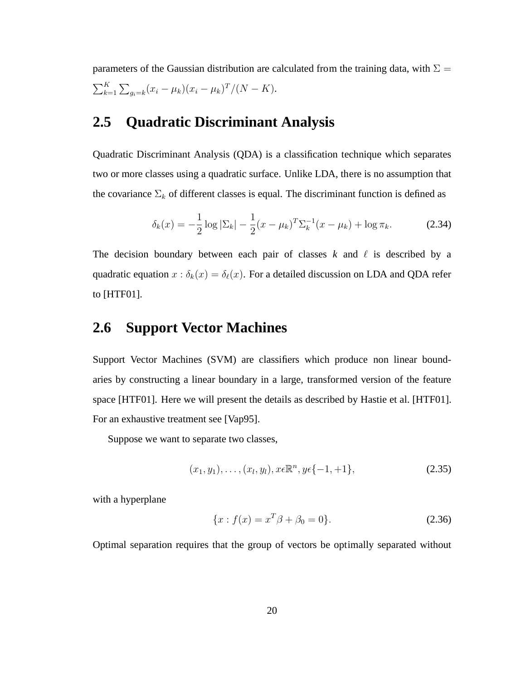parameters of the Gaussian distribution are calculated from the training data, with  $\Sigma =$  $\sum_{k=1}^{K} \sum_{g_i=k} (x_i - \mu_k)(x_i - \mu_k)^T / (N - K).$ 

### **2.5 Quadratic Discriminant Analysis**

Quadratic Discriminant Analysis (QDA) is a classification technique which separates two or more classes using a quadratic surface. Unlike LDA, there is no assumption that the covariance  $\Sigma_k$  of different classes is equal. The discriminant function is defined as

$$
\delta_k(x) = -\frac{1}{2}\log|\Sigma_k| - \frac{1}{2}(x - \mu_k)^T \Sigma_k^{-1} (x - \mu_k) + \log \pi_k.
$$
 (2.34)

The decision boundary between each pair of classes  $k$  and  $\ell$  is described by a quadratic equation  $x : \delta_k(x) = \delta_\ell(x)$ . For a detailed discussion on LDA and QDA refer to [HTF01].

#### **2.6 Support Vector Machines**

Support Vector Machines (SVM) are classifiers which produce non linear boundaries by constructing a linear boundary in a large, transformed version of the feature space [HTF01]. Here we will present the details as described by Hastie et al. [HTF01]. For an exhaustive treatment see [Vap95].

Suppose we want to separate two classes,

$$
(x_1, y_1), \ldots, (x_l, y_l), x \in \mathbb{R}^n, y \in \{-1, +1\},
$$
\n(2.35)

with a hyperplane

$$
\{x: f(x) = x^T \beta + \beta_0 = 0\}.
$$
 (2.36)

Optimal separation requires that the group of vectors be optimally separated without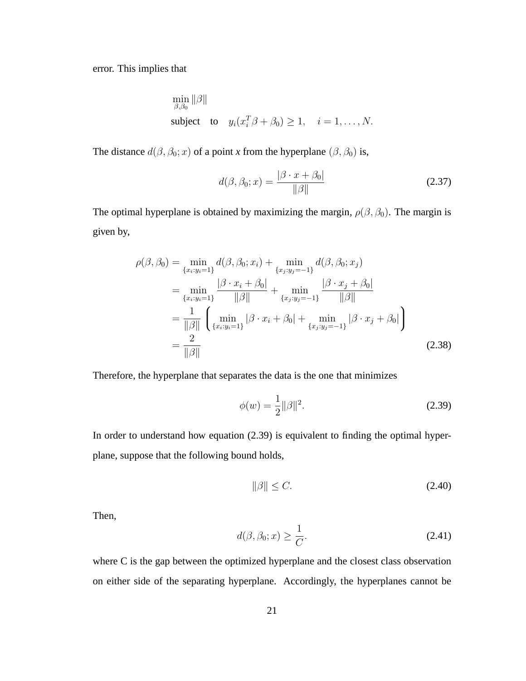error. This implies that

$$
\min_{\beta,\beta_0} \|\beta\|
$$
  
subject to  $y_i(x_i^T \beta + \beta_0) \ge 1, \quad i = 1, ..., N.$ 

The distance  $d(\beta, \beta_0; x)$  of a point *x* from the hyperplane  $(\beta, \beta_0)$  is,

$$
d(\beta, \beta_0; x) = \frac{|\beta \cdot x + \beta_0|}{\|\beta\|} \tag{2.37}
$$

The optimal hyperplane is obtained by maximizing the margin,  $\rho(\beta, \beta_0)$ . The margin is given by,

$$
\rho(\beta, \beta_0) = \min_{\{x_i : y_i = 1\}} d(\beta, \beta_0; x_i) + \min_{\{x_j : y_j = -1\}} d(\beta, \beta_0; x_j)
$$
  
\n
$$
= \min_{\{x_i : y_i = 1\}} \frac{|\beta \cdot x_i + \beta_0|}{\|\beta\|} + \min_{\{x_j : y_j = -1\}} \frac{|\beta \cdot x_j + \beta_0|}{\|\beta\|}
$$
  
\n
$$
= \frac{1}{\|\beta\|} \left( \min_{\{x_i : y_i = 1\}} |\beta \cdot x_i + \beta_0| + \min_{\{x_j : y_j = -1\}} |\beta \cdot x_j + \beta_0| \right)
$$
  
\n
$$
= \frac{2}{\|\beta\|}
$$
\n(2.38)

Therefore, the hyperplane that separates the data is the one that minimizes

$$
\phi(w) = \frac{1}{2} ||\beta||^2.
$$
 (2.39)

In order to understand how equation (2.39) is equivalent to finding the optimal hyperplane, suppose that the following bound holds,

$$
\|\beta\| \le C. \tag{2.40}
$$

Then,

$$
d(\beta, \beta_0; x) \ge \frac{1}{C}.\tag{2.41}
$$

where C is the gap between the optimized hyperplane and the closest class observation on either side of the separating hyperplane. Accordingly, the hyperplanes cannot be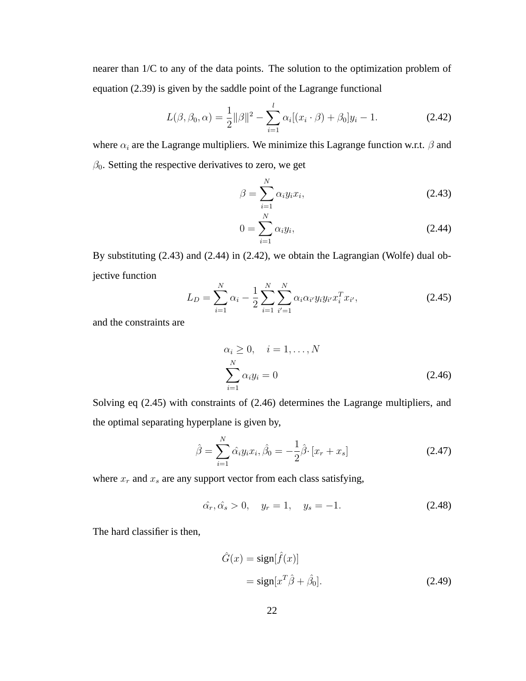nearer than 1/C to any of the data points. The solution to the optimization problem of equation (2.39) is given by the saddle point of the Lagrange functional

$$
L(\beta, \beta_0, \alpha) = \frac{1}{2} ||\beta||^2 - \sum_{i=1}^l \alpha_i [(x_i \cdot \beta) + \beta_0] y_i - 1.
$$
 (2.42)

where  $\alpha_i$  are the Lagrange multipliers. We minimize this Lagrange function w.r.t.  $\beta$  and  $\beta_0$ . Setting the respective derivatives to zero, we get

$$
\beta = \sum_{i=1}^{N} \alpha_i y_i x_i, \qquad (2.43)
$$

$$
0 = \sum_{i=1}^{N} \alpha_i y_i,
$$
 (2.44)

By substituting (2.43) and (2.44) in (2.42), we obtain the Lagrangian (Wolfe) dual objective function

$$
L_D = \sum_{i=1}^{N} \alpha_i - \frac{1}{2} \sum_{i=1}^{N} \sum_{i'=1}^{N} \alpha_i \alpha_{i'} y_i y_{i'} x_i^T x_{i'},
$$
 (2.45)

and the constraints are

$$
\alpha_i \ge 0, \quad i = 1, \dots, N
$$
  

$$
\sum_{i=1}^N \alpha_i y_i = 0
$$
 (2.46)

Solving eq (2.45) with constraints of (2.46) determines the Lagrange multipliers, and the optimal separating hyperplane is given by,

$$
\hat{\beta} = \sum_{i=1}^{N} \hat{\alpha_i} y_i x_i, \hat{\beta_0} = -\frac{1}{2} \hat{\beta} \cdot [x_r + x_s]
$$
\n(2.47)

where  $x_r$  and  $x_s$  are any support vector from each class satisfying,

$$
\hat{\alpha_r}, \hat{\alpha_s} > 0, \quad y_r = 1, \quad y_s = -1. \tag{2.48}
$$

The hard classifier is then,

$$
\hat{G}(x) = \text{sign}[\hat{f}(x)]
$$
  
=  $\text{sign}[x^T \hat{\beta} + \hat{\beta}_0].$  (2.49)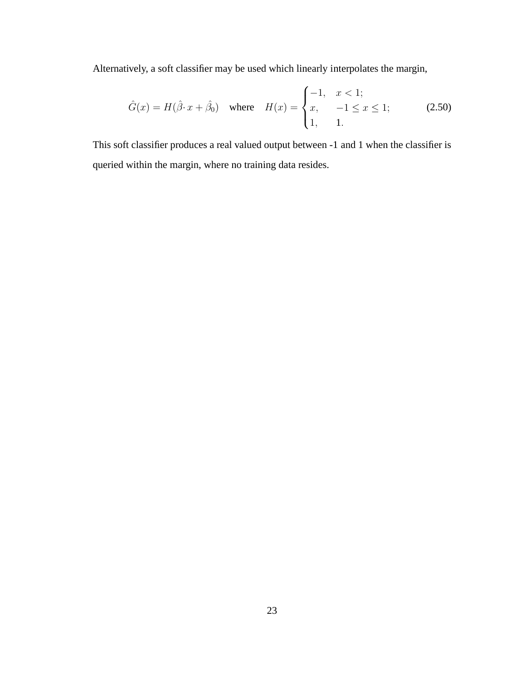Alternatively, a soft classifier may be used which linearly interpolates the margin,

$$
\hat{G}(x) = H(\hat{\beta} \cdot x + \hat{\beta}_0) \quad \text{where} \quad H(x) = \begin{cases} -1, & x < 1; \\ x, & -1 \le x \le 1; \\ 1, & 1. \end{cases} \tag{2.50}
$$

This soft classifier produces a real valued output between -1 and 1 when the classifier is queried within the margin, where no training data resides.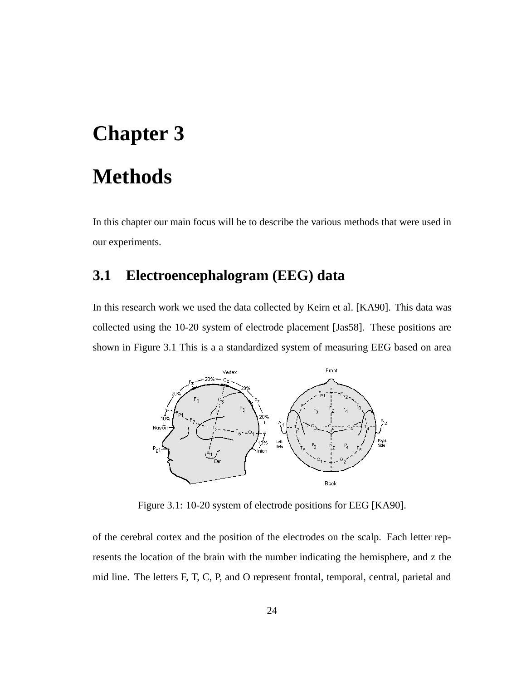# **Chapter 3**

# **Methods**

In this chapter our main focus will be to describe the various methods that were used in our experiments.

#### **3.1 Electroencephalogram (EEG) data**

In this research work we used the data collected by Keirn et al. [KA90]. This data was collected using the 10-20 system of electrode placement [Jas58]. These positions are shown in Figure 3.1 This is a a standardized system of measuring EEG based on area



Figure 3.1: 10-20 system of electrode positions for EEG [KA90].

of the cerebral cortex and the position of the electrodes on the scalp. Each letter represents the location of the brain with the number indicating the hemisphere, and z the mid line. The letters F, T, C, P, and O represent frontal, temporal, central, parietal and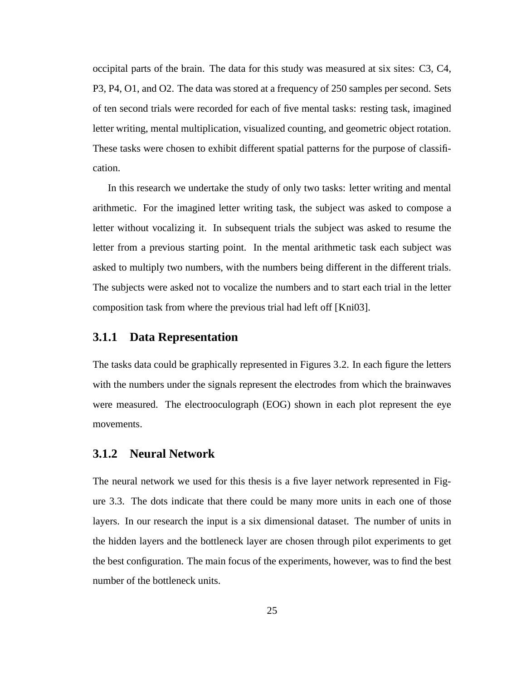occipital parts of the brain. The data for this study was measured at six sites: C3, C4, P3, P4, O1, and O2. The data was stored at a frequency of 250 samples per second. Sets of ten second trials were recorded for each of five mental tasks: resting task, imagined letter writing, mental multiplication, visualized counting, and geometric object rotation. These tasks were chosen to exhibit different spatial patterns for the purpose of classification.

In this research we undertake the study of only two tasks: letter writing and mental arithmetic. For the imagined letter writing task, the subject was asked to compose a letter without vocalizing it. In subsequent trials the subject was asked to resume the letter from a previous starting point. In the mental arithmetic task each subject was asked to multiply two numbers, with the numbers being different in the different trials. The subjects were asked not to vocalize the numbers and to start each trial in the letter composition task from where the previous trial had left off [Kni03].

#### **3.1.1 Data Representation**

The tasks data could be graphically represented in Figures 3.2. In each figure the letters with the numbers under the signals represent the electrodes from which the brainwaves were measured. The electrooculograph (EOG) shown in each plot represent the eye movements.

#### **3.1.2 Neural Network**

The neural network we used for this thesis is a five layer network represented in Figure 3.3. The dots indicate that there could be many more units in each one of those layers. In our research the input is a six dimensional dataset. The number of units in the hidden layers and the bottleneck layer are chosen through pilot experiments to get the best configuration. The main focus of the experiments, however, was to find the best number of the bottleneck units.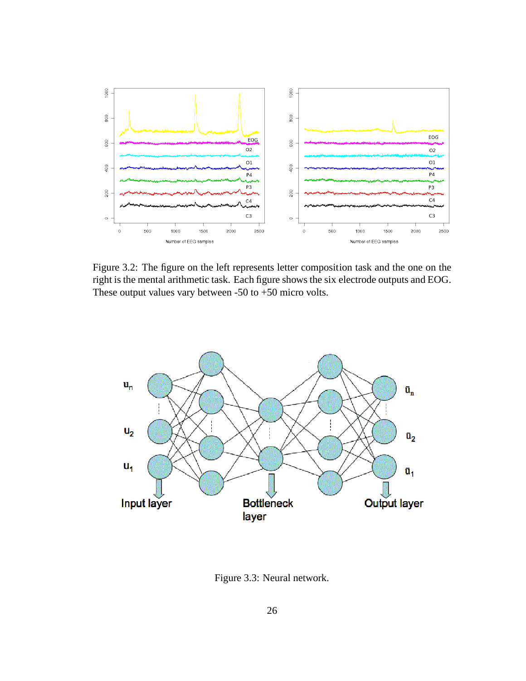

Figure 3.2: The figure on the left represents letter composition task and the one on the right is the mental arithmetic task. Each figure shows the six electrode outputs and EOG. These output values vary between -50 to +50 micro volts.



Figure 3.3: Neural network.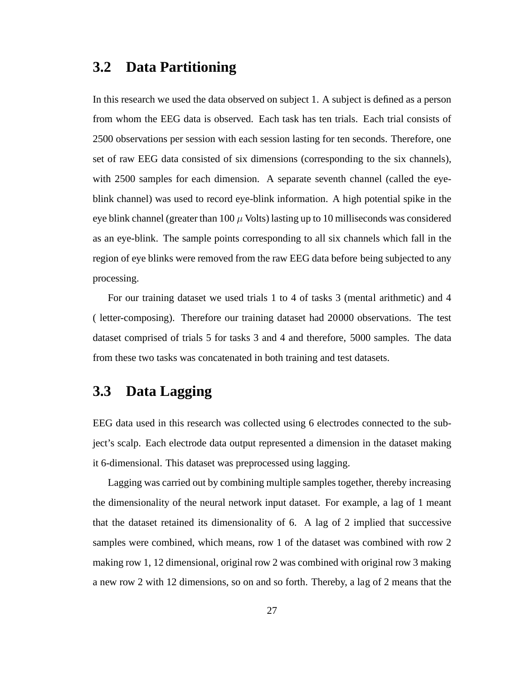#### **3.2 Data Partitioning**

In this research we used the data observed on subject 1. A subject is defined as a person from whom the EEG data is observed. Each task has ten trials. Each trial consists of 2500 observations per session with each session lasting for ten seconds. Therefore, one set of raw EEG data consisted of six dimensions (corresponding to the six channels), with 2500 samples for each dimension. A separate seventh channel (called the eyeblink channel) was used to record eye-blink information. A high potential spike in the eye blink channel (greater than  $100 \mu$  Volts) lasting up to 10 milliseconds was considered as an eye-blink. The sample points corresponding to all six channels which fall in the region of eye blinks were removed from the raw EEG data before being subjected to any processing.

For our training dataset we used trials 1 to 4 of tasks 3 (mental arithmetic) and 4 ( letter-composing). Therefore our training dataset had 20000 observations. The test dataset comprised of trials 5 for tasks 3 and 4 and therefore, 5000 samples. The data from these two tasks was concatenated in both training and test datasets.

### **3.3 Data Lagging**

EEG data used in this research was collected using 6 electrodes connected to the subject's scalp. Each electrode data output represented a dimension in the dataset making it 6-dimensional. This dataset was preprocessed using lagging.

Lagging was carried out by combining multiple samples together, thereby increasing the dimensionality of the neural network input dataset. For example, a lag of 1 meant that the dataset retained its dimensionality of 6. A lag of 2 implied that successive samples were combined, which means, row 1 of the dataset was combined with row 2 making row 1, 12 dimensional, original row 2 was combined with original row 3 making a new row 2 with 12 dimensions, so on and so forth. Thereby, a lag of 2 means that the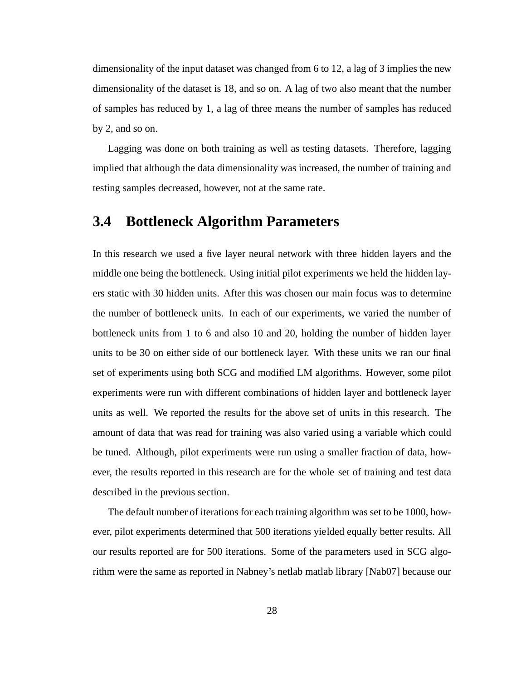dimensionality of the input dataset was changed from 6 to 12, a lag of 3 implies the new dimensionality of the dataset is 18, and so on. A lag of two also meant that the number of samples has reduced by 1, a lag of three means the number of samples has reduced by 2, and so on.

Lagging was done on both training as well as testing datasets. Therefore, lagging implied that although the data dimensionality was increased, the number of training and testing samples decreased, however, not at the same rate.

#### **3.4 Bottleneck Algorithm Parameters**

In this research we used a five layer neural network with three hidden layers and the middle one being the bottleneck. Using initial pilot experiments we held the hidden layers static with 30 hidden units. After this was chosen our main focus was to determine the number of bottleneck units. In each of our experiments, we varied the number of bottleneck units from 1 to 6 and also 10 and 20, holding the number of hidden layer units to be 30 on either side of our bottleneck layer. With these units we ran our final set of experiments using both SCG and modified LM algorithms. However, some pilot experiments were run with different combinations of hidden layer and bottleneck layer units as well. We reported the results for the above set of units in this research. The amount of data that was read for training was also varied using a variable which could be tuned. Although, pilot experiments were run using a smaller fraction of data, however, the results reported in this research are for the whole set of training and test data described in the previous section.

The default number of iterations for each training algorithm was set to be 1000, however, pilot experiments determined that 500 iterations yielded equally better results. All our results reported are for 500 iterations. Some of the parameters used in SCG algorithm were the same as reported in Nabney's netlab matlab library [Nab07] because our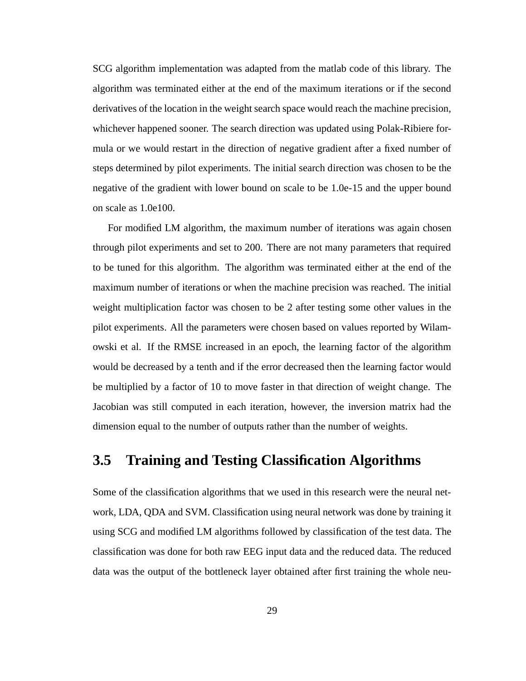SCG algorithm implementation was adapted from the matlab code of this library. The algorithm was terminated either at the end of the maximum iterations or if the second derivatives of the location in the weight search space would reach the machine precision, whichever happened sooner. The search direction was updated using Polak-Ribiere formula or we would restart in the direction of negative gradient after a fixed number of steps determined by pilot experiments. The initial search direction was chosen to be the negative of the gradient with lower bound on scale to be 1.0e-15 and the upper bound on scale as 1.0e100.

For modified LM algorithm, the maximum number of iterations was again chosen through pilot experiments and set to 200. There are not many parameters that required to be tuned for this algorithm. The algorithm was terminated either at the end of the maximum number of iterations or when the machine precision was reached. The initial weight multiplication factor was chosen to be 2 after testing some other values in the pilot experiments. All the parameters were chosen based on values reported by Wilamowski et al. If the RMSE increased in an epoch, the learning factor of the algorithm would be decreased by a tenth and if the error decreased then the learning factor would be multiplied by a factor of 10 to move faster in that direction of weight change. The Jacobian was still computed in each iteration, however, the inversion matrix had the dimension equal to the number of outputs rather than the number of weights.

#### **3.5 Training and Testing Classification Algorithms**

Some of the classification algorithms that we used in this research were the neural network, LDA, QDA and SVM. Classification using neural network was done by training it using SCG and modified LM algorithms followed by classification of the test data. The classification was done for both raw EEG input data and the reduced data. The reduced data was the output of the bottleneck layer obtained after first training the whole neu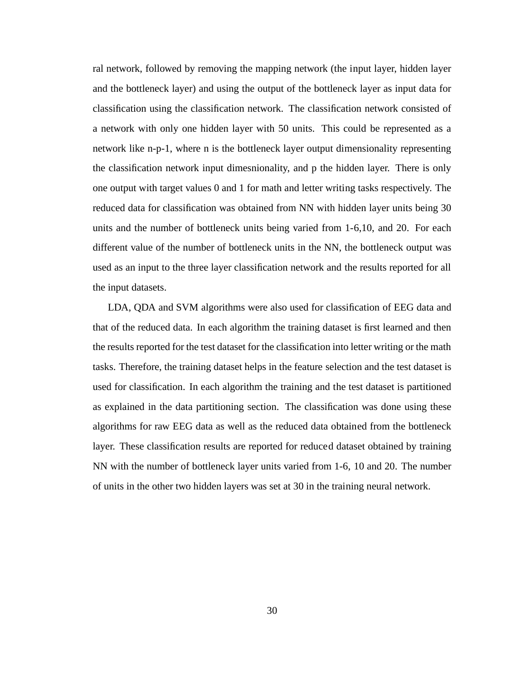ral network, followed by removing the mapping network (the input layer, hidden layer and the bottleneck layer) and using the output of the bottleneck layer as input data for classification using the classification network. The classification network consisted of a network with only one hidden layer with 50 units. This could be represented as a network like n-p-1, where n is the bottleneck layer output dimensionality representing the classification network input dimesnionality, and p the hidden layer. There is only one output with target values 0 and 1 for math and letter writing tasks respectively. The reduced data for classification was obtained from NN with hidden layer units being 30 units and the number of bottleneck units being varied from 1-6,10, and 20. For each different value of the number of bottleneck units in the NN, the bottleneck output was used as an input to the three layer classification network and the results reported for all the input datasets.

LDA, QDA and SVM algorithms were also used for classification of EEG data and that of the reduced data. In each algorithm the training dataset is first learned and then the results reported for the test dataset for the classification into letter writing or the math tasks. Therefore, the training dataset helps in the feature selection and the test dataset is used for classification. In each algorithm the training and the test dataset is partitioned as explained in the data partitioning section. The classification was done using these algorithms for raw EEG data as well as the reduced data obtained from the bottleneck layer. These classification results are reported for reduced dataset obtained by training NN with the number of bottleneck layer units varied from 1-6, 10 and 20. The number of units in the other two hidden layers was set at 30 in the training neural network.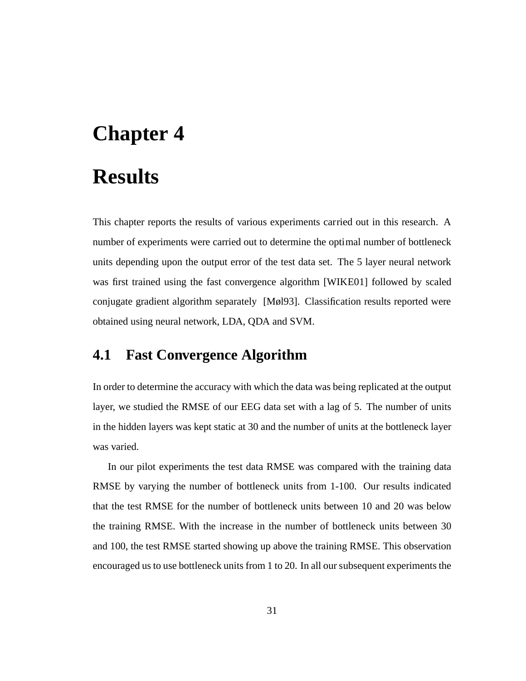# **Chapter 4**

# **Results**

This chapter reports the results of various experiments carried out in this research. A number of experiments were carried out to determine the optimal number of bottleneck units depending upon the output error of the test data set. The 5 layer neural network was first trained using the fast convergence algorithm [WIKE01] followed by scaled conjugate gradient algorithm separately [Møl93]. Classification results reported were obtained using neural network, LDA, QDA and SVM.

### **4.1 Fast Convergence Algorithm**

In order to determine the accuracy with which the data was being replicated at the output layer, we studied the RMSE of our EEG data set with a lag of 5. The number of units in the hidden layers was kept static at 30 and the number of units at the bottleneck layer was varied.

In our pilot experiments the test data RMSE was compared with the training data RMSE by varying the number of bottleneck units from 1-100. Our results indicated that the test RMSE for the number of bottleneck units between 10 and 20 was below the training RMSE. With the increase in the number of bottleneck units between 30 and 100, the test RMSE started showing up above the training RMSE. This observation encouraged us to use bottleneck units from 1 to 20. In all our subsequent experiments the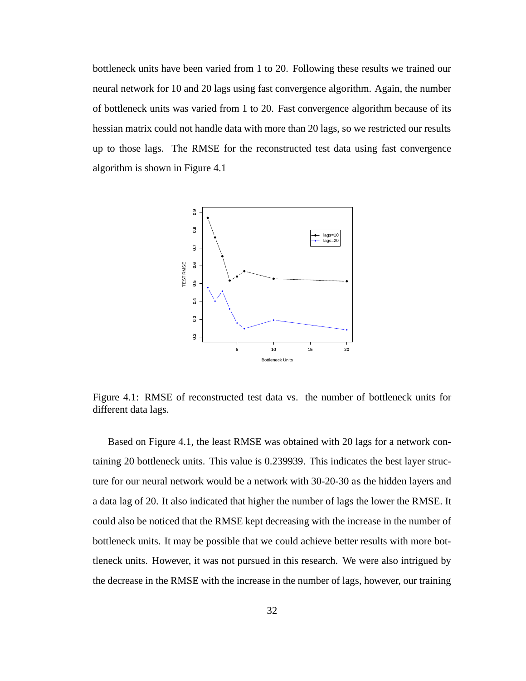bottleneck units have been varied from 1 to 20. Following these results we trained our neural network for 10 and 20 lags using fast convergence algorithm. Again, the number of bottleneck units was varied from 1 to 20. Fast convergence algorithm because of its hessian matrix could not handle data with more than 20 lags, so we restricted our results up to those lags. The RMSE for the reconstructed test data using fast convergence algorithm is shown in Figure 4.1



Figure 4.1: RMSE of reconstructed test data vs. the number of bottleneck units for different data lags.

Based on Figure 4.1, the least RMSE was obtained with 20 lags for a network containing 20 bottleneck units. This value is 0.239939. This indicates the best layer structure for our neural network would be a network with 30-20-30 as the hidden layers and a data lag of 20. It also indicated that higher the number of lags the lower the RMSE. It could also be noticed that the RMSE kept decreasing with the increase in the number of bottleneck units. It may be possible that we could achieve better results with more bottleneck units. However, it was not pursued in this research. We were also intrigued by the decrease in the RMSE with the increase in the number of lags, however, our training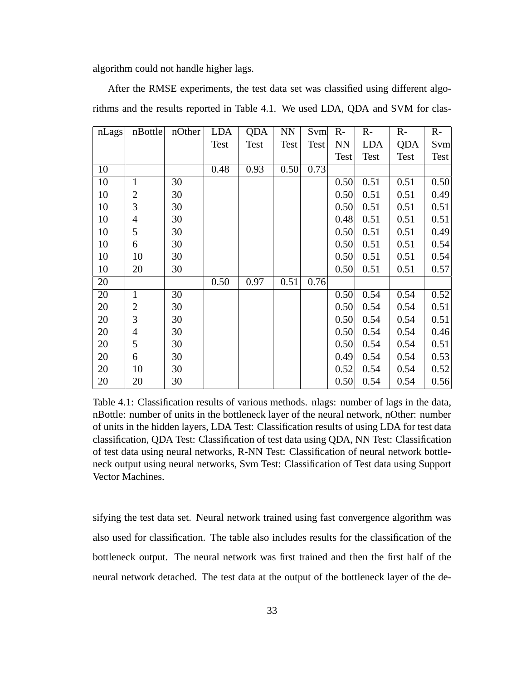algorithm could not handle higher lags.

| nLags | nBottle        | nOther | <b>LDA</b> | QDA  | <b>NN</b>   | Svm  | $R -$     | $R-$       | $R -$      | $R-$ |
|-------|----------------|--------|------------|------|-------------|------|-----------|------------|------------|------|
|       |                |        | Test       | Test | <b>Test</b> | Test | <b>NN</b> | <b>LDA</b> | <b>QDA</b> | Svm  |
|       |                |        |            |      |             |      | Test      | Test       | Test       | Test |
| 10    |                |        | 0.48       | 0.93 | 0.50        | 0.73 |           |            |            |      |
| 10    | $\mathbf{1}$   | 30     |            |      |             |      | 0.50      | 0.51       | 0.51       | 0.50 |
| 10    | $\overline{2}$ | 30     |            |      |             |      | 0.50      | 0.51       | 0.51       | 0.49 |
| 10    | 3              | 30     |            |      |             |      | 0.50      | 0.51       | 0.51       | 0.51 |
| 10    | 4              | 30     |            |      |             |      | 0.48      | 0.51       | 0.51       | 0.51 |
| 10    | 5              | 30     |            |      |             |      | 0.50      | 0.51       | 0.51       | 0.49 |
| 10    | 6              | 30     |            |      |             |      | 0.50      | 0.51       | 0.51       | 0.54 |
| 10    | 10             | 30     |            |      |             |      | 0.50      | 0.51       | 0.51       | 0.54 |
| 10    | 20             | 30     |            |      |             |      | 0.50      | 0.51       | 0.51       | 0.57 |
| 20    |                |        | 0.50       | 0.97 | 0.51        | 0.76 |           |            |            |      |
| 20    | $\mathbf{1}$   | 30     |            |      |             |      | 0.50      | 0.54       | 0.54       | 0.52 |
| 20    | $\overline{2}$ | 30     |            |      |             |      | 0.50      | 0.54       | 0.54       | 0.51 |
| 20    | 3              | 30     |            |      |             |      | 0.50      | 0.54       | 0.54       | 0.51 |
| 20    | 4              | 30     |            |      |             |      | 0.50      | 0.54       | 0.54       | 0.46 |
| 20    | 5              | 30     |            |      |             |      | 0.50      | 0.54       | 0.54       | 0.51 |
| 20    | 6              | 30     |            |      |             |      | 0.49      | 0.54       | 0.54       | 0.53 |
| 20    | 10             | 30     |            |      |             |      | 0.52      | 0.54       | 0.54       | 0.52 |
| 20    | 20             | 30     |            |      |             |      | 0.50      | 0.54       | 0.54       | 0.56 |

After the RMSE experiments, the test data set was classified using different algorithms and the results reported in Table 4.1. We used LDA, QDA and SVM for clas-

Table 4.1: Classification results of various methods. nlags: number of lags in the data, nBottle: number of units in the bottleneck layer of the neural network, nOther: number of units in the hidden layers, LDA Test: Classification results of using LDA for test data classification, QDA Test: Classification of test data using QDA, NN Test: Classification of test data using neural networks, R-NN Test: Classification of neural network bottleneck output using neural networks, Svm Test: Classification of Test data using Support Vector Machines.

sifying the test data set. Neural network trained using fast convergence algorithm was also used for classification. The table also includes results for the classification of the bottleneck output. The neural network was first trained and then the first half of the neural network detached. The test data at the output of the bottleneck layer of the de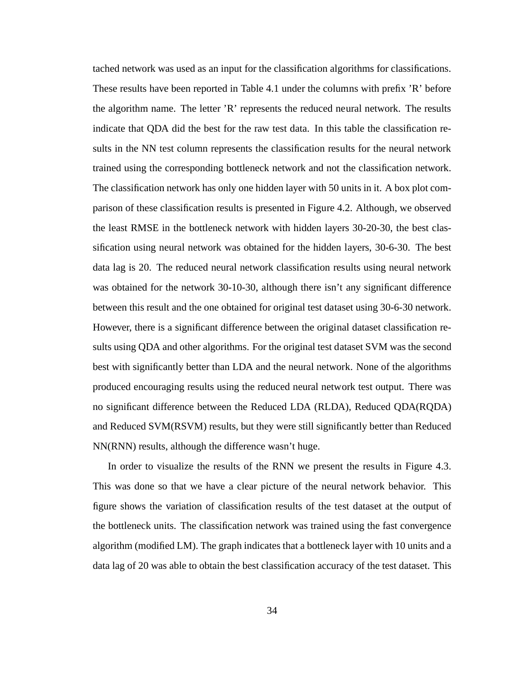tached network was used as an input for the classification algorithms for classifications. These results have been reported in Table 4.1 under the columns with prefix 'R' before the algorithm name. The letter 'R' represents the reduced neural network. The results indicate that QDA did the best for the raw test data. In this table the classification results in the NN test column represents the classification results for the neural network trained using the corresponding bottleneck network and not the classification network. The classification network has only one hidden layer with 50 units in it. A box plot comparison of these classification results is presented in Figure 4.2. Although, we observed the least RMSE in the bottleneck network with hidden layers 30-20-30, the best classification using neural network was obtained for the hidden layers, 30-6-30. The best data lag is 20. The reduced neural network classification results using neural network was obtained for the network 30-10-30, although there isn't any significant difference between this result and the one obtained for original test dataset using 30-6-30 network. However, there is a significant difference between the original dataset classification results using QDA and other algorithms. For the original test dataset SVM was the second best with significantly better than LDA and the neural network. None of the algorithms produced encouraging results using the reduced neural network test output. There was no significant difference between the Reduced LDA (RLDA), Reduced QDA(RQDA) and Reduced SVM(RSVM) results, but they were still significantly better than Reduced NN(RNN) results, although the difference wasn't huge.

In order to visualize the results of the RNN we present the results in Figure 4.3. This was done so that we have a clear picture of the neural network behavior. This figure shows the variation of classification results of the test dataset at the output of the bottleneck units. The classification network was trained using the fast convergence algorithm (modified LM). The graph indicates that a bottleneck layer with 10 units and a data lag of 20 was able to obtain the best classification accuracy of the test dataset. This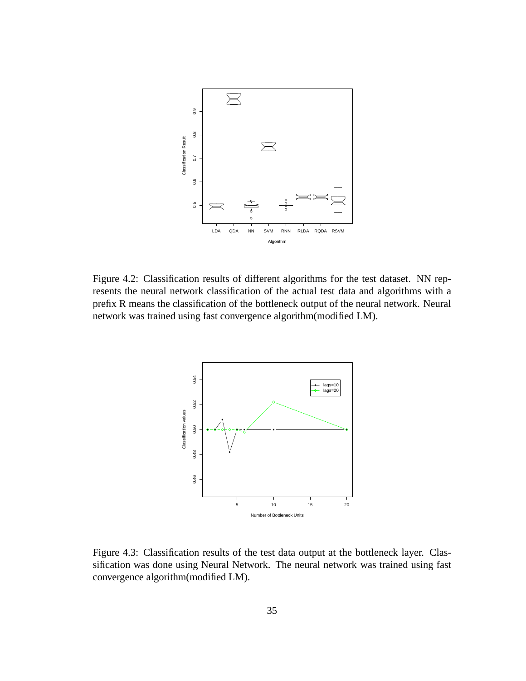

Figure 4.2: Classification results of different algorithms for the test dataset. NN represents the neural network classification of the actual test data and algorithms with a prefix R means the classification of the bottleneck output of the neural network. Neural network was trained using fast convergence algorithm(modified LM).



Figure 4.3: Classification results of the test data output at the bottleneck layer. Classification was done using Neural Network. The neural network was trained using fast convergence algorithm(modified LM).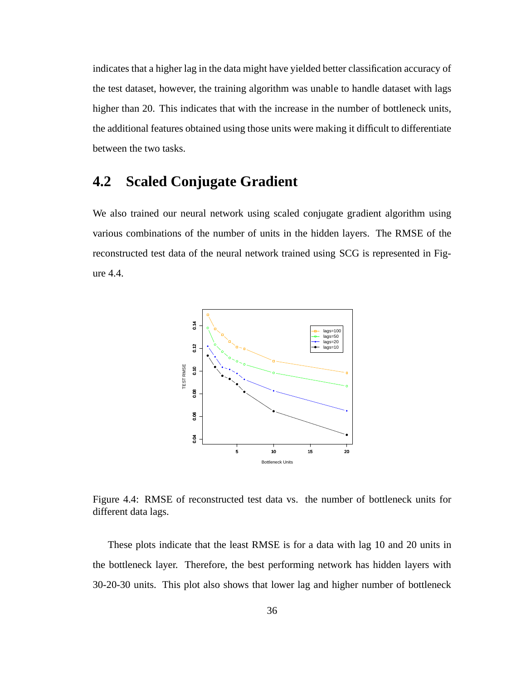indicates that a higher lag in the data might have yielded better classification accuracy of the test dataset, however, the training algorithm was unable to handle dataset with lags higher than 20. This indicates that with the increase in the number of bottleneck units, the additional features obtained using those units were making it difficult to differentiate between the two tasks.

## **4.2 Scaled Conjugate Gradient**

We also trained our neural network using scaled conjugate gradient algorithm using various combinations of the number of units in the hidden layers. The RMSE of the reconstructed test data of the neural network trained using SCG is represented in Figure 4.4.



Figure 4.4: RMSE of reconstructed test data vs. the number of bottleneck units for different data lags.

These plots indicate that the least RMSE is for a data with lag 10 and 20 units in the bottleneck layer. Therefore, the best performing network has hidden layers with 30-20-30 units. This plot also shows that lower lag and higher number of bottleneck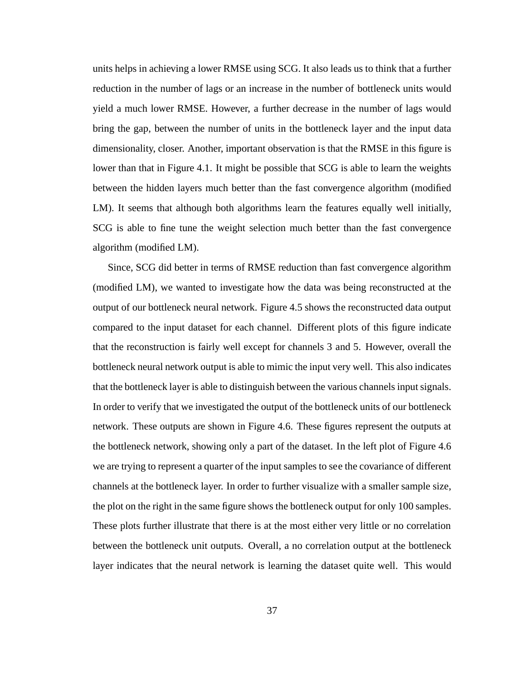units helps in achieving a lower RMSE using SCG. It also leads us to think that a further reduction in the number of lags or an increase in the number of bottleneck units would yield a much lower RMSE. However, a further decrease in the number of lags would bring the gap, between the number of units in the bottleneck layer and the input data dimensionality, closer. Another, important observation is that the RMSE in this figure is lower than that in Figure 4.1. It might be possible that SCG is able to learn the weights between the hidden layers much better than the fast convergence algorithm (modified LM). It seems that although both algorithms learn the features equally well initially, SCG is able to fine tune the weight selection much better than the fast convergence algorithm (modified LM).

Since, SCG did better in terms of RMSE reduction than fast convergence algorithm (modified LM), we wanted to investigate how the data was being reconstructed at the output of our bottleneck neural network. Figure 4.5 shows the reconstructed data output compared to the input dataset for each channel. Different plots of this figure indicate that the reconstruction is fairly well except for channels 3 and 5. However, overall the bottleneck neural network output is able to mimic the input very well. This also indicates that the bottleneck layer is able to distinguish between the various channels input signals. In order to verify that we investigated the output of the bottleneck units of our bottleneck network. These outputs are shown in Figure 4.6. These figures represent the outputs at the bottleneck network, showing only a part of the dataset. In the left plot of Figure 4.6 we are trying to represent a quarter of the input samples to see the covariance of different channels at the bottleneck layer. In order to further visualize with a smaller sample size, the plot on the right in the same figure shows the bottleneck output for only 100 samples. These plots further illustrate that there is at the most either very little or no correlation between the bottleneck unit outputs. Overall, a no correlation output at the bottleneck layer indicates that the neural network is learning the dataset quite well. This would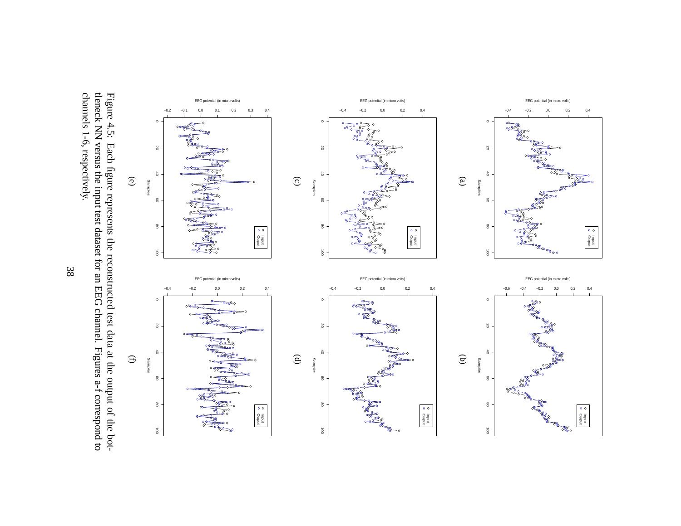

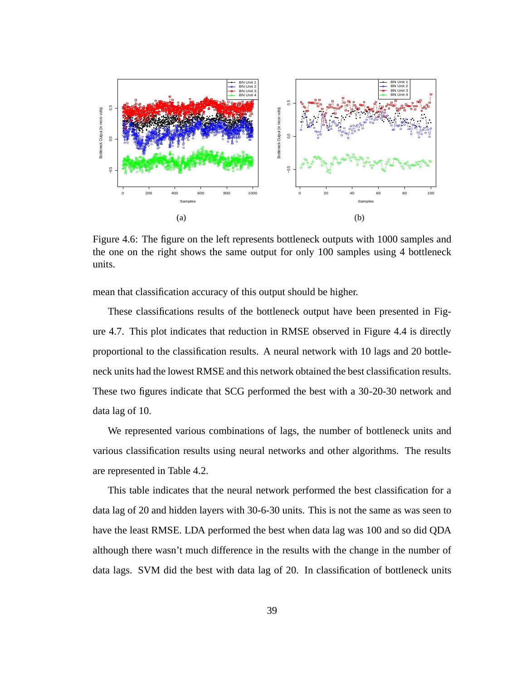

Figure 4.6: The figure on the left represents bottleneck outputs with 1000 samples and the one on the right shows the same output for only 100 samples using 4 bottleneck units.

mean that classification accuracy of this output should be higher.

These classifications results of the bottleneck output have been presented in Figure 4.7. This plot indicates that reduction in RMSE observed in Figure 4.4 is directly proportional to the classification results. A neural network with 10 lags and 20 bottleneck units had the lowest RMSE and this network obtained the best classification results. These two figures indicate that SCG performed the best with a 30-20-30 network and data lag of 10.

We represented various combinations of lags, the number of bottleneck units and various classification results using neural networks and other algorithms. The results are represented in Table 4.2.

This table indicates that the neural network performed the best classification for a data lag of 20 and hidden layers with 30-6-30 units. This is not the same as was seen to have the least RMSE. LDA performed the best when data lag was 100 and so did QDA although there wasn't much difference in the results with the change in the number of data lags. SVM did the best with data lag of 20. In classification of bottleneck units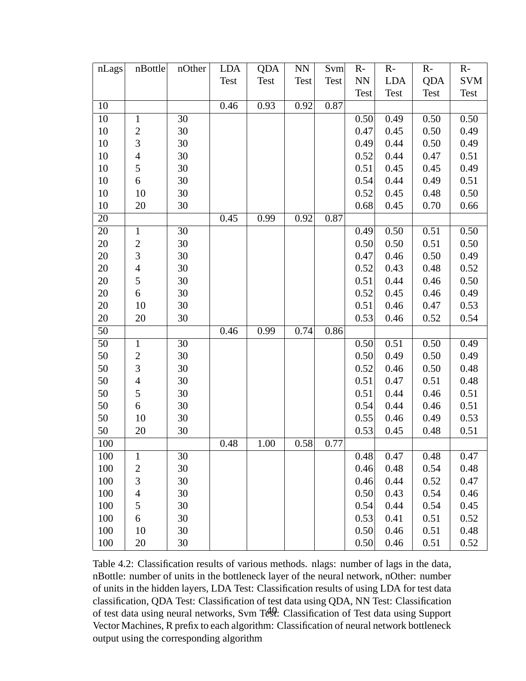| nLags           | nBottle        | nOther | <b>LDA</b> | <b>QDA</b> | NN          | Svm         | $R -$     | $R -$       | $R-$        | $R -$      |
|-----------------|----------------|--------|------------|------------|-------------|-------------|-----------|-------------|-------------|------------|
|                 |                |        | Test       | Test       | <b>Test</b> | <b>Test</b> | <b>NN</b> | <b>LDA</b>  | <b>QDA</b>  | <b>SVM</b> |
|                 |                |        |            |            |             |             | Test      | <b>Test</b> | <b>Test</b> | Test       |
| 10              |                |        | 0.46       | 0.93       | 0.92        | 0.87        |           |             |             |            |
| 10              | $\mathbf{1}$   | 30     |            |            |             |             | 0.50      | 0.49        | 0.50        | 0.50       |
| 10              | $\overline{c}$ | 30     |            |            |             |             | 0.47      | 0.45        | 0.50        | 0.49       |
| 10              | 3              | 30     |            |            |             |             | 0.49      | 0.44        | 0.50        | 0.49       |
| 10              | $\overline{4}$ | 30     |            |            |             |             | 0.52      | 0.44        | 0.47        | 0.51       |
| 10              | 5              | $30\,$ |            |            |             |             | 0.51      | 0.45        | 0.45        | 0.49       |
| 10              | 6              | 30     |            |            |             |             | 0.54      | 0.44        | 0.49        | 0.51       |
| 10              | 10             | 30     |            |            |             |             | 0.52      | 0.45        | 0.48        | 0.50       |
| 10              | 20             | 30     |            |            |             |             | 0.68      | 0.45        | 0.70        | 0.66       |
| 20              |                |        | 0.45       | 0.99       | 0.92        | 0.87        |           |             |             |            |
| 20              | $\mathbf{1}$   | 30     |            |            |             |             | 0.49      | 0.50        | 0.51        | 0.50       |
| 20              | $\overline{c}$ | 30     |            |            |             |             | 0.50      | 0.50        | 0.51        | 0.50       |
| $20\,$          | 3              | $30\,$ |            |            |             |             | 0.47      | 0.46        | 0.50        | 0.49       |
| 20              | $\overline{4}$ | 30     |            |            |             |             | 0.52      | 0.43        | 0.48        | 0.52       |
| 20              | 5              | $30\,$ |            |            |             |             | 0.51      | 0.44        | 0.46        | 0.50       |
| 20              | 6              | 30     |            |            |             |             | 0.52      | 0.45        | 0.46        | 0.49       |
| 20              | 10             | 30     |            |            |             |             | 0.51      | 0.46        | 0.47        | 0.53       |
| 20              | 20             | 30     |            |            |             |             | 0.53      | 0.46        | 0.52        | 0.54       |
| 50              |                |        | 0.46       | 0.99       | 0.74        | 0.86        |           |             |             |            |
| $\overline{50}$ | $\mathbf{1}$   | 30     |            |            |             |             | 0.50      | 0.51        | 0.50        | 0.49       |
| 50              | $\overline{2}$ | 30     |            |            |             |             | 0.50      | 0.49        | 0.50        | 0.49       |
| 50              | 3              | 30     |            |            |             |             | 0.52      | 0.46        | 0.50        | 0.48       |
| 50              | $\overline{4}$ | 30     |            |            |             |             | 0.51      | 0.47        | 0.51        | 0.48       |
| 50              | 5              | 30     |            |            |             |             | 0.51      | 0.44        | 0.46        | 0.51       |
| 50              | 6              | $30\,$ |            |            |             |             | 0.54      | 0.44        | 0.46        | 0.51       |
| 50              | 10             | 30     |            |            |             |             | 0.55      | 0.46        | 0.49        | 0.53       |
| 50              | 20             | 30     |            |            |             |             | 0.53      | 0.45        | 0.48        | 0.51       |
| 100             |                |        | 0.48       | 1.00       | 0.58        | 0.77        |           |             |             |            |
| 100             | $\mathbf{1}$   | 30     |            |            |             |             | 0.48      | 0.47        | 0.48        | 0.47       |
| 100             | $\overline{c}$ | 30     |            |            |             |             | 0.46      | 0.48        | 0.54        | 0.48       |
| 100             | 3              | 30     |            |            |             |             | 0.46      | 0.44        | 0.52        | 0.47       |
| 100             | $\overline{4}$ | 30     |            |            |             |             | 0.50      | 0.43        | 0.54        | 0.46       |
| 100             | 5              | 30     |            |            |             |             | 0.54      | 0.44        | 0.54        | 0.45       |
| 100             | 6              | 30     |            |            |             |             | 0.53      | 0.41        | 0.51        | 0.52       |
| 100             | 10             | 30     |            |            |             |             | 0.50      | 0.46        | 0.51        | 0.48       |
| 100             | 20             | 30     |            |            |             |             | 0.50      | 0.46        | 0.51        | 0.52       |

Table 4.2: Classification results of various methods. nlags: number of lags in the data, nBottle: number of units in the bottleneck layer of the neural network, nOther: number of units in the hidden layers, LDA Test: Classification results of using LDA for test data classification, QDA Test: Classification of test data using QDA, NN Test: Classification of test data using neural networks, Svm Test: Classification of Test data using Support Vector Machines, R prefix to each algorithm: Classification of neural network bottleneck output using the corresponding algorithm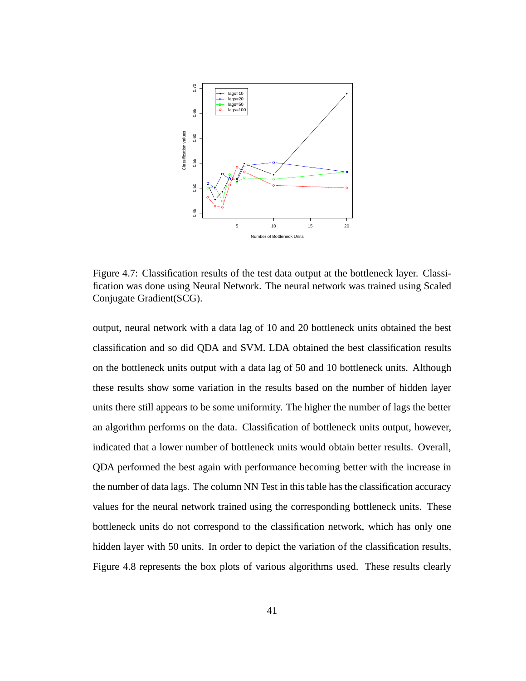

Figure 4.7: Classification results of the test data output at the bottleneck layer. Classification was done using Neural Network. The neural network was trained using Scaled Conjugate Gradient(SCG).

output, neural network with a data lag of 10 and 20 bottleneck units obtained the best classification and so did QDA and SVM. LDA obtained the best classification results on the bottleneck units output with a data lag of 50 and 10 bottleneck units. Although these results show some variation in the results based on the number of hidden layer units there still appears to be some uniformity. The higher the number of lags the better an algorithm performs on the data. Classification of bottleneck units output, however, indicated that a lower number of bottleneck units would obtain better results. Overall, QDA performed the best again with performance becoming better with the increase in the number of data lags. The column NN Test in this table has the classification accuracy values for the neural network trained using the corresponding bottleneck units. These bottleneck units do not correspond to the classification network, which has only one hidden layer with 50 units. In order to depict the variation of the classification results, Figure 4.8 represents the box plots of various algorithms used. These results clearly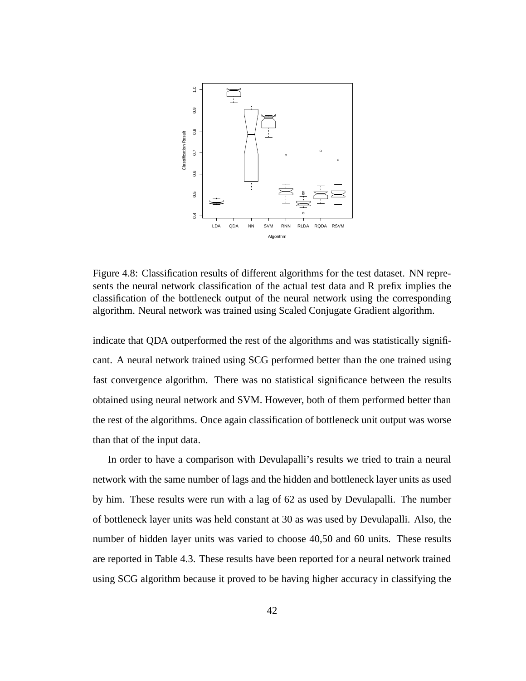

Figure 4.8: Classification results of different algorithms for the test dataset. NN represents the neural network classification of the actual test data and R prefix implies the classification of the bottleneck output of the neural network using the corresponding algorithm. Neural network was trained using Scaled Conjugate Gradient algorithm.

indicate that QDA outperformed the rest of the algorithms and was statistically significant. A neural network trained using SCG performed better than the one trained using fast convergence algorithm. There was no statistical significance between the results obtained using neural network and SVM. However, both of them performed better than the rest of the algorithms. Once again classification of bottleneck unit output was worse than that of the input data.

In order to have a comparison with Devulapalli's results we tried to train a neural network with the same number of lags and the hidden and bottleneck layer units as used by him. These results were run with a lag of 62 as used by Devulapalli. The number of bottleneck layer units was held constant at 30 as was used by Devulapalli. Also, the number of hidden layer units was varied to choose 40,50 and 60 units. These results are reported in Table 4.3. These results have been reported for a neural network trained using SCG algorithm because it proved to be having higher accuracy in classifying the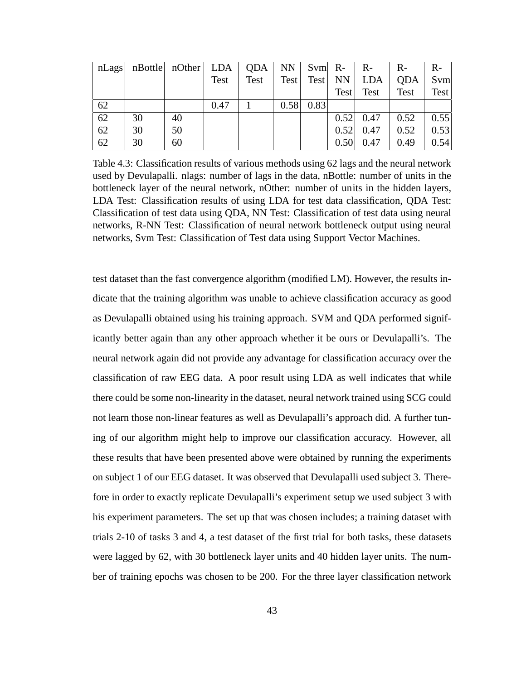| nLags |    | $nBottle$ $nOther$ $LDA$ $QDA$ |      |      | <b>NN</b> |             | $Svm \, R$ - | $R-$       | $R-$       | $R-$ |
|-------|----|--------------------------------|------|------|-----------|-------------|--------------|------------|------------|------|
|       |    |                                | Test | Test | Test      | Test        | NN           | <b>LDA</b> | <b>ODA</b> | Svm  |
|       |    |                                |      |      |           |             | Test         | Test       | Test       | Test |
| 62    |    |                                | 0.47 |      |           | $0.58$ 0.83 |              |            |            |      |
| 62    | 30 | 40                             |      |      |           |             | 0.52         | 0.47       | 0.52       | 0.55 |
| 62    | 30 | 50                             |      |      |           |             | 0.52         | 0.47       | 0.52       | 0.53 |
| 62    | 30 | 60                             |      |      |           |             | 0.50         | 0.47       | 0.49       | 0.54 |

Table 4.3: Classification results of various methods using 62 lags and the neural network used by Devulapalli. nlags: number of lags in the data, nBottle: number of units in the bottleneck layer of the neural network, nOther: number of units in the hidden layers, LDA Test: Classification results of using LDA for test data classification, QDA Test: Classification of test data using QDA, NN Test: Classification of test data using neural networks, R-NN Test: Classification of neural network bottleneck output using neural networks, Svm Test: Classification of Test data using Support Vector Machines.

test dataset than the fast convergence algorithm (modified LM). However, the results indicate that the training algorithm was unable to achieve classification accuracy as good as Devulapalli obtained using his training approach. SVM and QDA performed significantly better again than any other approach whether it be ours or Devulapalli's. The neural network again did not provide any advantage for classification accuracy over the classification of raw EEG data. A poor result using LDA as well indicates that while there could be some non-linearity in the dataset, neural network trained using SCG could not learn those non-linear features as well as Devulapalli's approach did. A further tuning of our algorithm might help to improve our classification accuracy. However, all these results that have been presented above were obtained by running the experiments on subject 1 of our EEG dataset. It was observed that Devulapalli used subject 3. Therefore in order to exactly replicate Devulapalli's experiment setup we used subject 3 with his experiment parameters. The set up that was chosen includes; a training dataset with trials 2-10 of tasks 3 and 4, a test dataset of the first trial for both tasks, these datasets were lagged by 62, with 30 bottleneck layer units and 40 hidden layer units. The number of training epochs was chosen to be 200. For the three layer classification network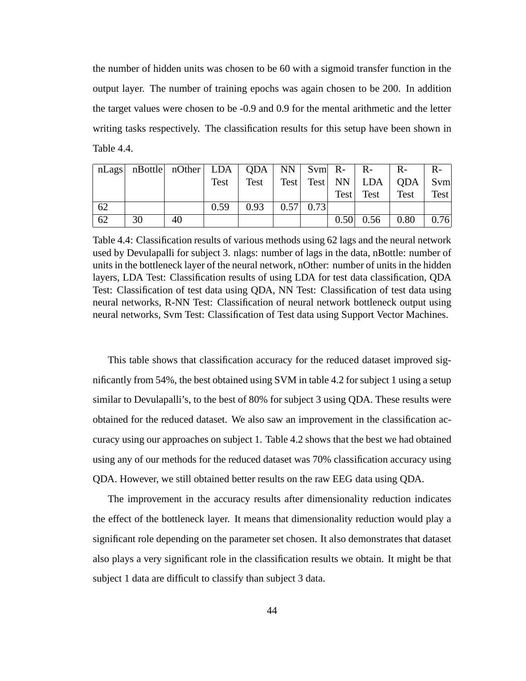the number of hidden units was chosen to be 60 with a sigmoid transfer function in the output layer. The number of training epochs was again chosen to be 200. In addition the target values were chosen to be -0.9 and 0.9 for the mental arithmetic and the letter writing tasks respectively. The classification results for this setup have been shown in Table 4.4.

|    |    | nLags nBottle nOther LDA   QDA   NN   Svm R-   R- |      |                          |  |  | $R-$                                      | $R-$ |
|----|----|---------------------------------------------------|------|--------------------------|--|--|-------------------------------------------|------|
|    |    |                                                   | Test |                          |  |  | Test   Test   Test   NN   LDA   QDA   Svm |      |
|    |    |                                                   |      |                          |  |  | Test Test Test                            | Test |
| 62 |    |                                                   | 0.59 | $0.93$   $0.57$   $0.73$ |  |  |                                           |      |
| 62 | 30 | 40                                                |      |                          |  |  | $0.50 \mid 0.56 \mid 0.80 \mid 0.76$      |      |

Table 4.4: Classification results of various methods using 62 lags and the neural network used by Devulapalli for subject 3. nlags: number of lags in the data, nBottle: number of units in the bottleneck layer of the neural network, nOther: number of units in the hidden layers, LDA Test: Classification results of using LDA for test data classification, QDA Test: Classification of test data using QDA, NN Test: Classification of test data using neural networks, R-NN Test: Classification of neural network bottleneck output using neural networks, Svm Test: Classification of Test data using Support Vector Machines.

This table shows that classification accuracy for the reduced dataset improved significantly from 54%, the best obtained using SVM in table 4.2 for subject 1 using a setup similar to Devulapalli's, to the best of 80% for subject 3 using QDA. These results were obtained for the reduced dataset. We also saw an improvement in the classification accuracy using our approaches on subject 1. Table 4.2 shows that the best we had obtained using any of our methods for the reduced dataset was 70% classification accuracy using QDA. However, we still obtained better results on the raw EEG data using QDA.

The improvement in the accuracy results after dimensionality reduction indicates the effect of the bottleneck layer. It means that dimensionality reduction would play a significant role depending on the parameter set chosen. It also demonstrates that dataset also plays a very significant role in the classification results we obtain. It might be that subject 1 data are difficult to classify than subject 3 data.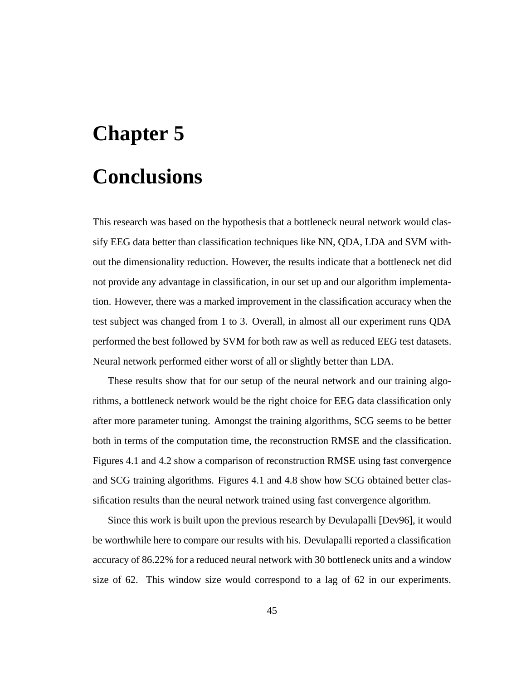# **Chapter 5**

# **Conclusions**

This research was based on the hypothesis that a bottleneck neural network would classify EEG data better than classification techniques like NN, QDA, LDA and SVM without the dimensionality reduction. However, the results indicate that a bottleneck net did not provide any advantage in classification, in our set up and our algorithm implementation. However, there was a marked improvement in the classification accuracy when the test subject was changed from 1 to 3. Overall, in almost all our experiment runs QDA performed the best followed by SVM for both raw as well as reduced EEG test datasets. Neural network performed either worst of all or slightly better than LDA.

These results show that for our setup of the neural network and our training algorithms, a bottleneck network would be the right choice for EEG data classification only after more parameter tuning. Amongst the training algorithms, SCG seems to be better both in terms of the computation time, the reconstruction RMSE and the classification. Figures 4.1 and 4.2 show a comparison of reconstruction RMSE using fast convergence and SCG training algorithms. Figures 4.1 and 4.8 show how SCG obtained better classification results than the neural network trained using fast convergence algorithm.

Since this work is built upon the previous research by Devulapalli [Dev96], it would be worthwhile here to compare our results with his. Devulapalli reported a classification accuracy of 86.22% for a reduced neural network with 30 bottleneck units and a window size of 62. This window size would correspond to a lag of 62 in our experiments.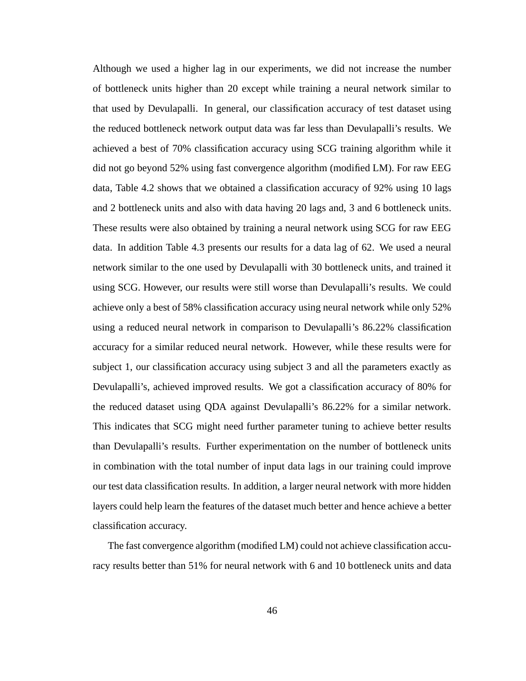Although we used a higher lag in our experiments, we did not increase the number of bottleneck units higher than 20 except while training a neural network similar to that used by Devulapalli. In general, our classification accuracy of test dataset using the reduced bottleneck network output data was far less than Devulapalli's results. We achieved a best of 70% classification accuracy using SCG training algorithm while it did not go beyond 52% using fast convergence algorithm (modified LM). For raw EEG data, Table 4.2 shows that we obtained a classification accuracy of 92% using 10 lags and 2 bottleneck units and also with data having 20 lags and, 3 and 6 bottleneck units. These results were also obtained by training a neural network using SCG for raw EEG data. In addition Table 4.3 presents our results for a data lag of 62. We used a neural network similar to the one used by Devulapalli with 30 bottleneck units, and trained it using SCG. However, our results were still worse than Devulapalli's results. We could achieve only a best of 58% classification accuracy using neural network while only 52% using a reduced neural network in comparison to Devulapalli's 86.22% classification accuracy for a similar reduced neural network. However, while these results were for subject 1, our classification accuracy using subject 3 and all the parameters exactly as Devulapalli's, achieved improved results. We got a classification accuracy of 80% for the reduced dataset using QDA against Devulapalli's 86.22% for a similar network. This indicates that SCG might need further parameter tuning to achieve better results than Devulapalli's results. Further experimentation on the number of bottleneck units in combination with the total number of input data lags in our training could improve our test data classification results. In addition, a larger neural network with more hidden layers could help learn the features of the dataset much better and hence achieve a better classification accuracy.

The fast convergence algorithm (modified LM) could not achieve classification accuracy results better than 51% for neural network with 6 and 10 bottleneck units and data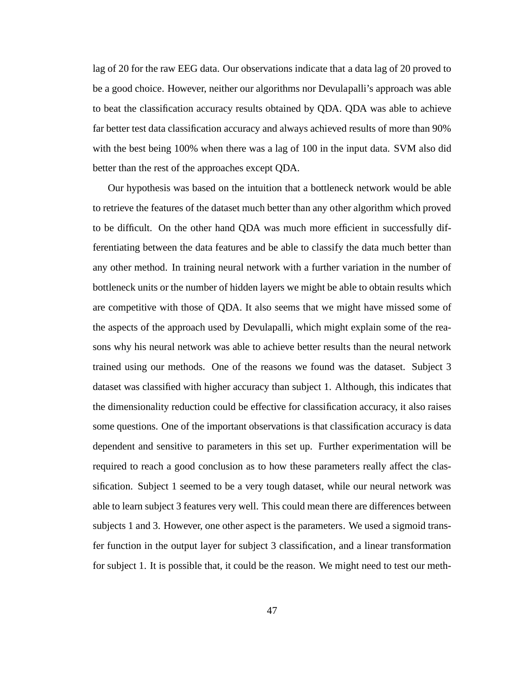lag of 20 for the raw EEG data. Our observations indicate that a data lag of 20 proved to be a good choice. However, neither our algorithms nor Devulapalli's approach was able to beat the classification accuracy results obtained by QDA. QDA was able to achieve far better test data classification accuracy and always achieved results of more than 90% with the best being 100% when there was a lag of 100 in the input data. SVM also did better than the rest of the approaches except QDA.

Our hypothesis was based on the intuition that a bottleneck network would be able to retrieve the features of the dataset much better than any other algorithm which proved to be difficult. On the other hand QDA was much more efficient in successfully differentiating between the data features and be able to classify the data much better than any other method. In training neural network with a further variation in the number of bottleneck units or the number of hidden layers we might be able to obtain results which are competitive with those of QDA. It also seems that we might have missed some of the aspects of the approach used by Devulapalli, which might explain some of the reasons why his neural network was able to achieve better results than the neural network trained using our methods. One of the reasons we found was the dataset. Subject 3 dataset was classified with higher accuracy than subject 1. Although, this indicates that the dimensionality reduction could be effective for classification accuracy, it also raises some questions. One of the important observations is that classification accuracy is data dependent and sensitive to parameters in this set up. Further experimentation will be required to reach a good conclusion as to how these parameters really affect the classification. Subject 1 seemed to be a very tough dataset, while our neural network was able to learn subject 3 features very well. This could mean there are differences between subjects 1 and 3. However, one other aspect is the parameters. We used a sigmoid transfer function in the output layer for subject 3 classification, and a linear transformation for subject 1. It is possible that, it could be the reason. We might need to test our meth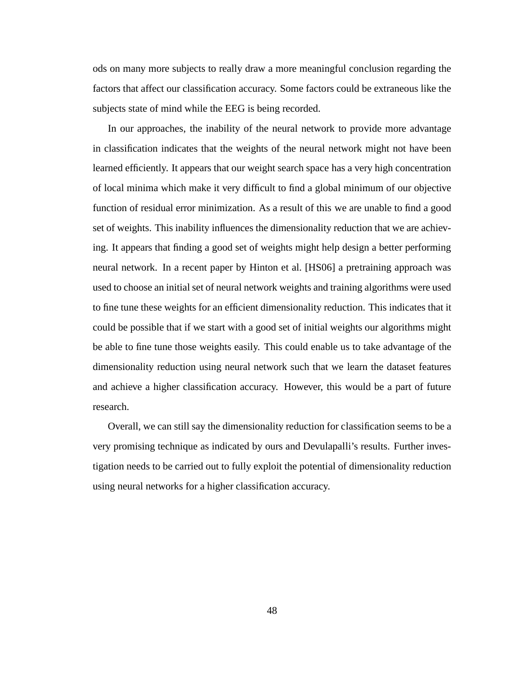ods on many more subjects to really draw a more meaningful conclusion regarding the factors that affect our classification accuracy. Some factors could be extraneous like the subjects state of mind while the EEG is being recorded.

In our approaches, the inability of the neural network to provide more advantage in classification indicates that the weights of the neural network might not have been learned efficiently. It appears that our weight search space has a very high concentration of local minima which make it very difficult to find a global minimum of our objective function of residual error minimization. As a result of this we are unable to find a good set of weights. This inability influences the dimensionality reduction that we are achieving. It appears that finding a good set of weights might help design a better performing neural network. In a recent paper by Hinton et al. [HS06] a pretraining approach was used to choose an initial set of neural network weights and training algorithms were used to fine tune these weights for an efficient dimensionality reduction. This indicates that it could be possible that if we start with a good set of initial weights our algorithms might be able to fine tune those weights easily. This could enable us to take advantage of the dimensionality reduction using neural network such that we learn the dataset features and achieve a higher classification accuracy. However, this would be a part of future research.

Overall, we can still say the dimensionality reduction for classification seems to be a very promising technique as indicated by ours and Devulapalli's results. Further investigation needs to be carried out to fully exploit the potential of dimensionality reduction using neural networks for a higher classification accuracy.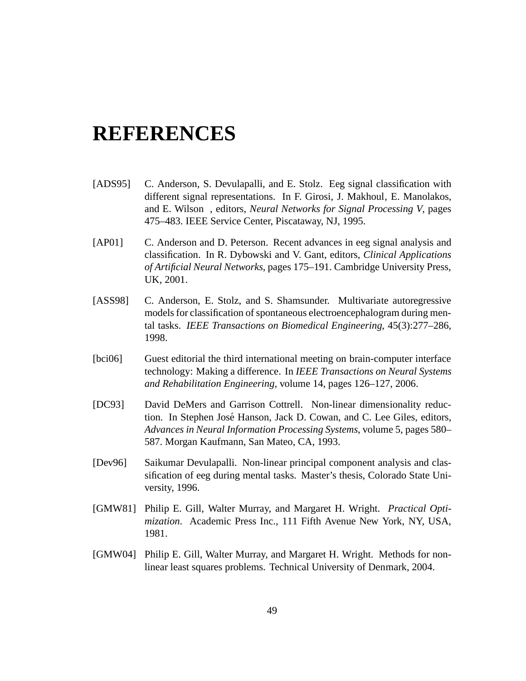# **REFERENCES**

- [ADS95] C. Anderson, S. Devulapalli, and E. Stolz. Eeg signal classification with different signal representations. In F. Girosi, J. Makhoul, E. Manolakos, and E. Wilson , editors, *Neural Networks for Signal Processing V*, pages 475–483. IEEE Service Center, Piscataway, NJ, 1995.
- [AP01] C. Anderson and D. Peterson. Recent advances in eeg signal analysis and classification. In R. Dybowski and V. Gant, editors, *Clinical Applications of Artificial Neural Networks*, pages 175–191. Cambridge University Press, UK, 2001.
- [ASS98] C. Anderson, E. Stolz, and S. Shamsunder. Multivariate autoregressive models for classification of spontaneous electroencephalogram during mental tasks. *IEEE Transactions on Biomedical Engineering*, 45(3):277–286, 1998.
- [bci06] Guest editorial the third international meeting on brain-computer interface technology: Making a difference. In *IEEE Transactions on Neural Systems and Rehabilitation Engineering*, volume 14, pages 126–127, 2006.
- [DC93] David DeMers and Garrison Cottrell. Non-linear dimensionality reduction. In Stephen Jose Hanson, Jack D. Cowan, and C. Lee Giles, editors, ´ *Advances in Neural Information Processing Systems*, volume 5, pages 580– 587. Morgan Kaufmann, San Mateo, CA, 1993.
- [Dev96] Saikumar Devulapalli. Non-linear principal component analysis and classification of eeg during mental tasks. Master's thesis, Colorado State University, 1996.
- [GMW81] Philip E. Gill, Walter Murray, and Margaret H. Wright. *Practical Optimization*. Academic Press Inc., 111 Fifth Avenue New York, NY, USA, 1981.
- [GMW04] Philip E. Gill, Walter Murray, and Margaret H. Wright. Methods for nonlinear least squares problems. Technical University of Denmark, 2004.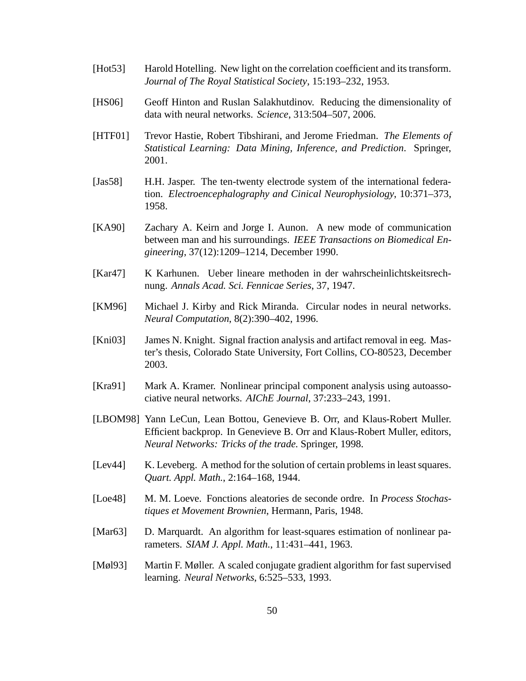- [Hot53] Harold Hotelling. New light on the correlation coefficient and its transform. *Journal of The Royal Statistical Society*, 15:193–232, 1953.
- [HS06] Geoff Hinton and Ruslan Salakhutdinov. Reducing the dimensionality of data with neural networks. *Science*, 313:504–507, 2006.
- [HTF01] Trevor Hastie, Robert Tibshirani, and Jerome Friedman. *The Elements of Statistical Learning: Data Mining, Inference, and Prediction*. Springer, 2001.
- [Jas58] H.H. Jasper. The ten-twenty electrode system of the international federation. *Electroencephalography and Cinical Neurophysiology*, 10:371–373, 1958.
- [KA90] Zachary A. Keirn and Jorge I. Aunon. A new mode of communication between man and his surroundings. *IEEE Transactions on Biomedical Engineering*, 37(12):1209–1214, December 1990.
- [Kar47] K Karhunen. Ueber lineare methoden in der wahrscheinlichtskeitsrechnung. *Annals Acad. Sci. Fennicae Series*, 37, 1947.
- [KM96] Michael J. Kirby and Rick Miranda. Circular nodes in neural networks. *Neural Computation*, 8(2):390–402, 1996.
- [Kni03] James N. Knight. Signal fraction analysis and artifact removal in eeg. Master's thesis, Colorado State University, Fort Collins, CO-80523, December 2003.
- [Kra91] Mark A. Kramer. Nonlinear principal component analysis using autoassociative neural networks. *AIChE Journal*, 37:233–243, 1991.
- [LBOM98] Yann LeCun, Lean Bottou, Genevieve B. Orr, and Klaus-Robert Muller. Efficient backprop. In Genevieve B. Orr and Klaus-Robert Muller, editors, *Neural Networks: Tricks of the trade*. Springer, 1998.
- [Lev44] K. Leveberg. A method for the solution of certain problems in least squares. *Quart. Appl. Math.*, 2:164–168, 1944.
- [Loe48] M. M. Loeve. Fonctions aleatories de seconde ordre. In *Process Stochastiques et Movement Brownien*, Hermann, Paris, 1948.
- [Mar63] D. Marquardt. An algorithm for least-squares estimation of nonlinear parameters. *SIAM J. Appl. Math.*, 11:431–441, 1963.
- [Møl93] Martin F. Møller. A scaled conjugate gradient algorithm for fast supervised learning. *Neural Networks*, 6:525–533, 1993.